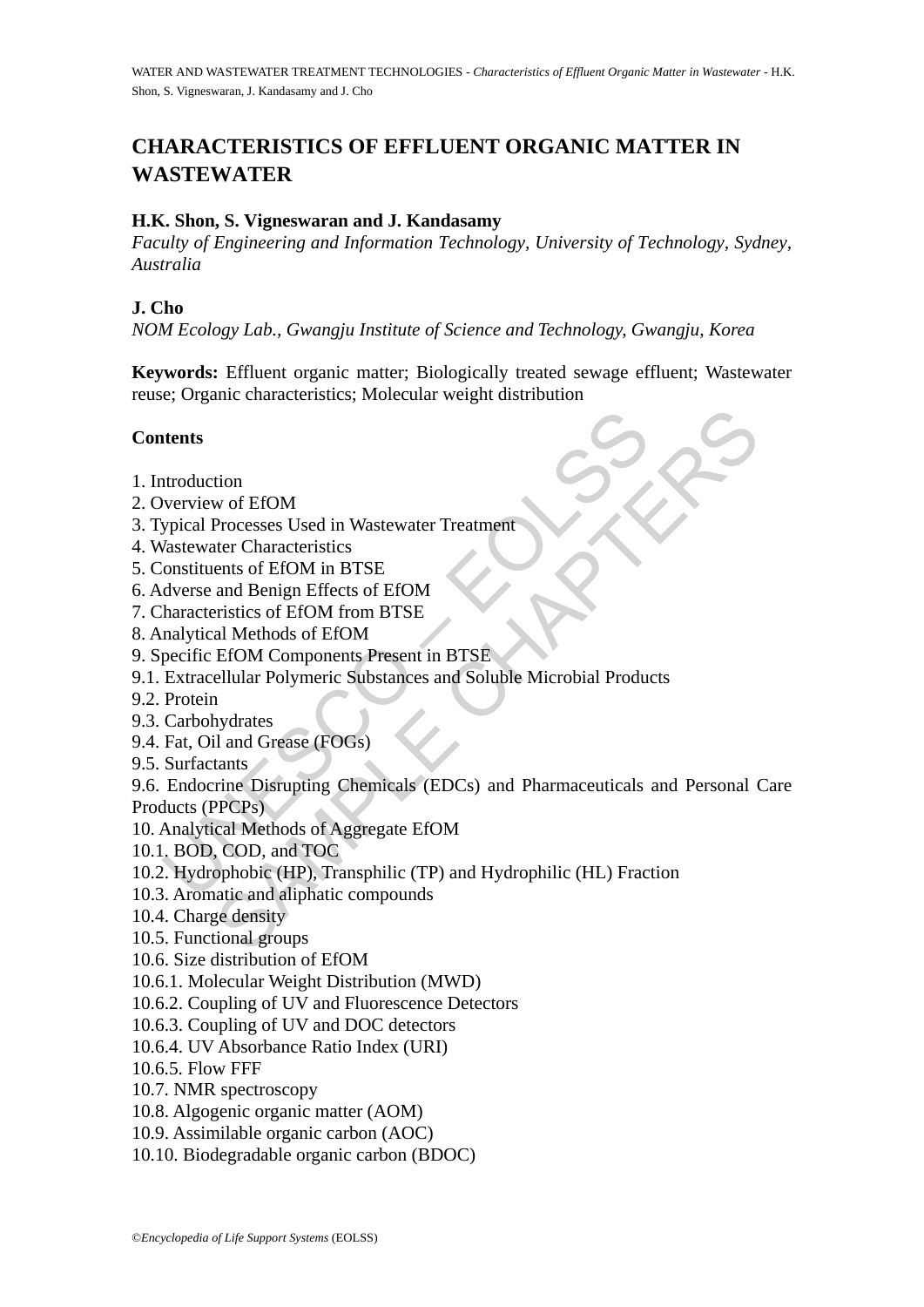# **CHARACTERISTICS OF EFFLUENT ORGANIC MATTER IN WASTEWATER**

## **H.K. Shon, S. Vigneswaran and J. Kandasamy**

*Faculty of Engineering and Information Technology, University of Technology, Sydney, Australia* 

## **J. Cho**

*NOM Ecology Lab., Gwangju Institute of Science and Technology, Gwangju, Korea* 

**Keywords:** Effluent organic matter; Biologically treated sewage effluent; Wastewater reuse; Organic characteristics; Molecular weight distribution

## **Contents**

- 1. Introduction
- 2. Overview of EfOM
- 3. Typical Processes Used in Wastewater Treatment
- 4. Wastewater Characteristics
- 5. Constituents of EfOM in BTSE
- 6. Adverse and Benign Effects of EfOM
- 7. Characteristics of EfOM from BTSE
- 8. Analytical Methods of EfOM
- 9. Specific EfOM Components Present in BTSE
- 9.1. Extracellular Polymeric Substances and Soluble Microbial Products
- 9.2. Protein
- 9.3. Carbohydrates
- 9.4. Fat, Oil and Grease (FOGs)
- 9.5. Surfactants

**Introduction**<br>
Introduction<br>
Introduction<br>
Verview of EfOM<br>
Verview of EfOM<br>
Verview Scotter Characteristics<br>
Constituents of EfOM<br>
Intracteristics of EfOM<br>
Intracteristics<br>
Individual Methods of EfOM<br>
Inalytical Methods tion<br>
worf EfOM<br>
Processes Used in Wastewater Treatment<br>
ter Characteristics<br>
ents of EfOM in BTSE<br>
and Benign Effects of EfOM<br>
al Methods of EfOM<br>
EfOM Components Present in BTSE<br>
ellular Polymeric Substances and Soluble 9.6. Endocrine Disrupting Chemicals (EDCs) and Pharmaceuticals and Personal Care Products (PPCPs)

- 10. Analytical Methods of Aggregate EfOM
- 10.1. BOD, COD, and TOC
- 10.2. Hydrophobic (HP), Transphilic (TP) and Hydrophilic (HL) Fraction
- 10.3. Aromatic and aliphatic compounds
- 10.4. Charge density
- 10.5. Functional groups
- 10.6. Size distribution of EfOM
- 10.6.1. Molecular Weight Distribution (MWD)
- 10.6.2. Coupling of UV and Fluorescence Detectors
- 10.6.3. Coupling of UV and DOC detectors
- 10.6.4. UV Absorbance Ratio Index (URI)
- 10.6.5. Flow FFF
- 10.7. NMR spectroscopy
- 10.8. Algogenic organic matter (AOM)
- 10.9. Assimilable organic carbon (AOC)
- 10.10. Biodegradable organic carbon (BDOC)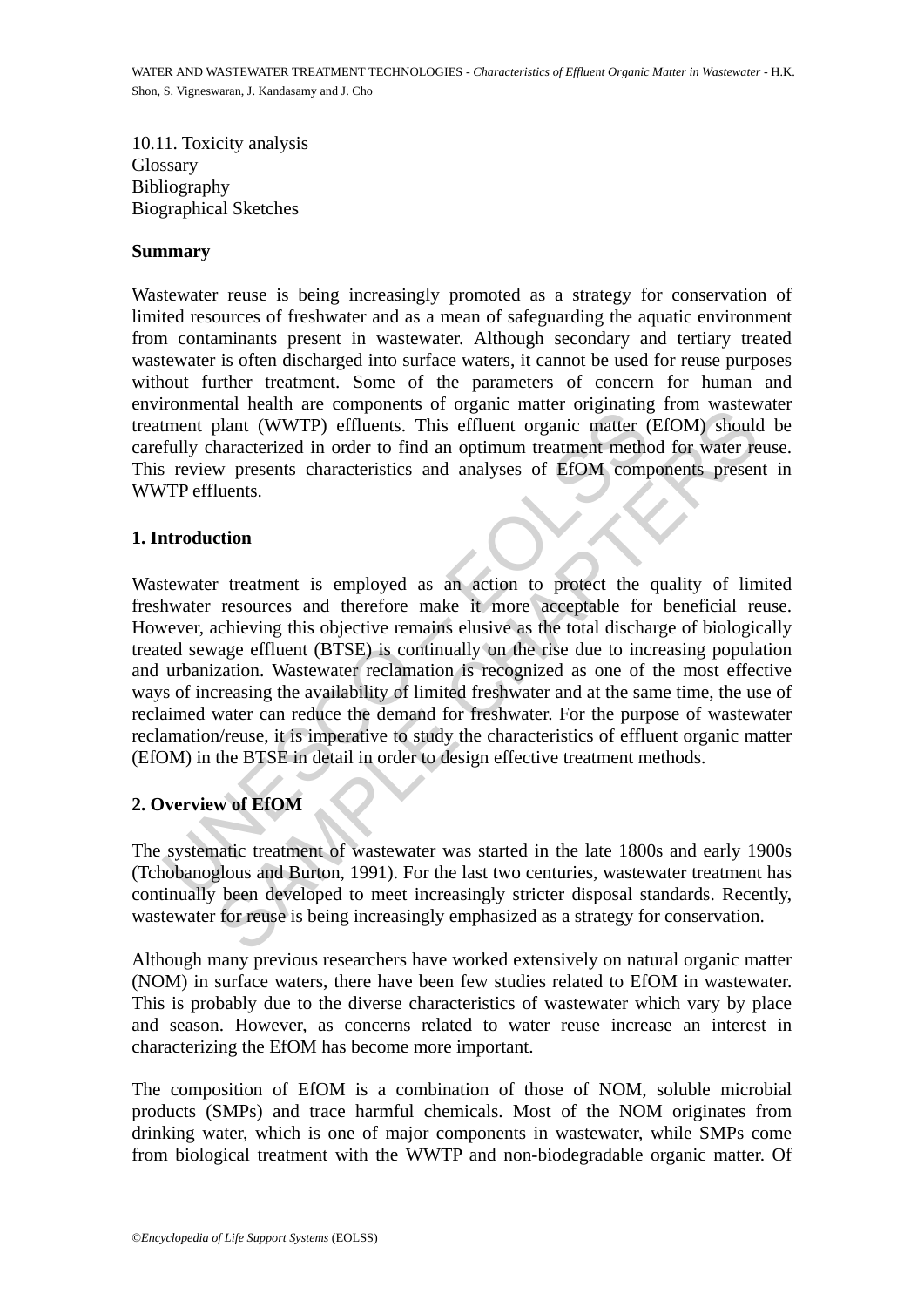10.11. Toxicity analysis **Glossary** Bibliography Biographical Sketches

#### **Summary**

Wastewater reuse is being increasingly promoted as a strategy for conservation of limited resources of freshwater and as a mean of safeguarding the aquatic environment from contaminants present in wastewater. Although secondary and tertiary treated wastewater is often discharged into surface waters, it cannot be used for reuse purposes without further treatment. Some of the parameters of concern for human and environmental health are components of organic matter originating from wastewater treatment plant (WWTP) effluents. This effluent organic matter (EfOM) should be carefully characterized in order to find an optimum treatment method for water reuse. This review presents characteristics and analyses of EfOM components present in WWTP effluents.

#### **1. Introduction**

From the component of wastewater originating the method of the method of the method and the component principle method is review presents characteristics and analyses of EfOM component prefluents.<br> **Alter the second terms** man are components or organic mater originality (The last two masses plant (WWTP) effluents. This effluent organic matter (EfOM) should haracterized in order to find an optimum treatment method for water rew presents chara Wastewater treatment is employed as an action to protect the quality of limited freshwater resources and therefore make it more acceptable for beneficial reuse. However, achieving this objective remains elusive as the total discharge of biologically treated sewage effluent (BTSE) is continually on the rise due to increasing population and urbanization. Wastewater reclamation is recognized as one of the most effective ways of increasing the availability of limited freshwater and at the same time, the use of reclaimed water can reduce the demand for freshwater. For the purpose of wastewater reclamation/reuse, it is imperative to study the characteristics of effluent organic matter (EfOM) in the BTSE in detail in order to design effective treatment methods.

# **2. Overview of EfOM**

The systematic treatment of wastewater was started in the late 1800s and early 1900s (Tchobanoglous and Burton, 1991). For the last two centuries, wastewater treatment has continually been developed to meet increasingly stricter disposal standards. Recently, wastewater for reuse is being increasingly emphasized as a strategy for conservation.

Although many previous researchers have worked extensively on natural organic matter (NOM) in surface waters, there have been few studies related to EfOM in wastewater. This is probably due to the diverse characteristics of wastewater which vary by place and season. However, as concerns related to water reuse increase an interest in characterizing the EfOM has become more important.

The composition of EfOM is a combination of those of NOM, soluble microbial products (SMPs) and trace harmful chemicals. Most of the NOM originates from drinking water, which is one of major components in wastewater, while SMPs come from biological treatment with the WWTP and non-biodegradable organic matter. Of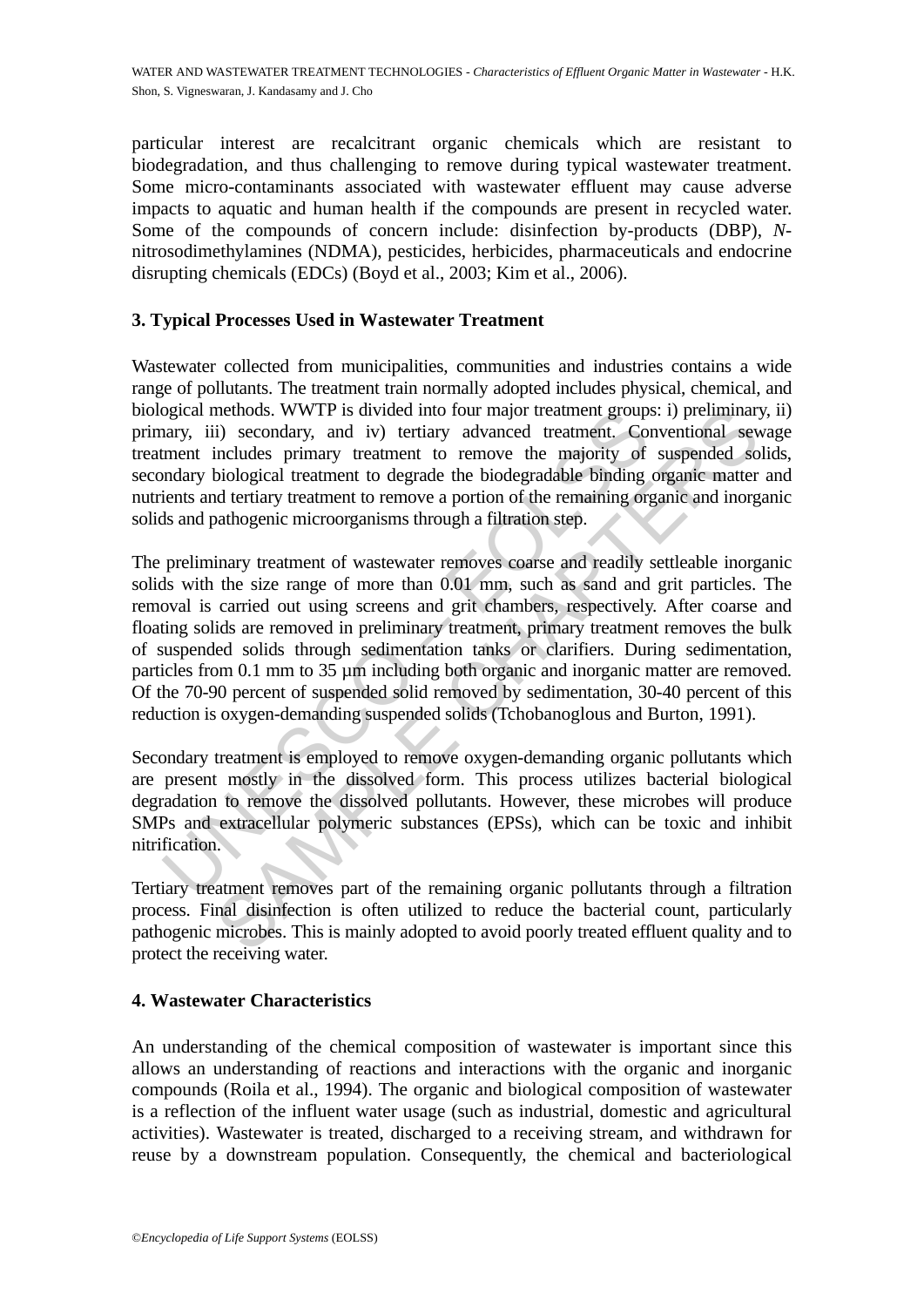particular interest are recalcitrant organic chemicals which are resistant to biodegradation, and thus challenging to remove during typical wastewater treatment. Some micro-contaminants associated with wastewater effluent may cause adverse impacts to aquatic and human health if the compounds are present in recycled water. Some of the compounds of concern include: disinfection by-products (DBP), *N*nitrosodimethylamines (NDMA), pesticides, herbicides, pharmaceuticals and endocrine disrupting chemicals (EDCs) (Boyd et al., 2003; Kim et al., 2006).

## **3. Typical Processes Used in Wastewater Treatment**

Wastewater collected from municipalities, communities and industries contains a wide range of pollutants. The treatment train normally adopted includes physical, chemical, and biological methods. WWTP is divided into four major treatment groups: i) preliminary, ii) primary, iii) secondary, and iv) tertiary advanced treatment. Conventional sewage treatment includes primary treatment to remove the majority of suspended solids, secondary biological treatment to degrade the biodegradable binding organic matter and nutrients and tertiary treatment to remove a portion of the remaining organic and inorganic solids and pathogenic microorganisms through a filtration step.

ogical methods. WWTP is divided into four major treatment groups anary, iii) secondary, and iv) teritary advanced treatment. Contrary, and in the lindes primary treatment to remove the majority of simary biological treatme nethods. WWTP is divided into four major treatment groups: i) preliminar<br>includes primary and iv) teritary advanced treatment. Conventional several<br>includes primary treatment to remove the majority of suspended so<br>biologic The preliminary treatment of wastewater removes coarse and readily settleable inorganic solids with the size range of more than 0.01 mm, such as sand and grit particles. The removal is carried out using screens and grit chambers, respectively. After coarse and floating solids are removed in preliminary treatment, primary treatment removes the bulk of suspended solids through sedimentation tanks or clarifiers. During sedimentation, particles from 0.1 mm to 35  $\mu$ m including both organic and inorganic matter are removed. Of the 70-90 percent of suspended solid removed by sedimentation, 30-40 percent of this reduction is oxygen-demanding suspended solids (Tchobanoglous and Burton, 1991).

Secondary treatment is employed to remove oxygen-demanding organic pollutants which are present mostly in the dissolved form. This process utilizes bacterial biological degradation to remove the dissolved pollutants. However, these microbes will produce SMPs and extracellular polymeric substances (EPSs), which can be toxic and inhibit nitrification.

Tertiary treatment removes part of the remaining organic pollutants through a filtration process. Final disinfection is often utilized to reduce the bacterial count, particularly pathogenic microbes. This is mainly adopted to avoid poorly treated effluent quality and to protect the receiving water.

#### **4. Wastewater Characteristics**

An understanding of the chemical composition of wastewater is important since this allows an understanding of reactions and interactions with the organic and inorganic compounds (Roila et al., 1994). The organic and biological composition of wastewater is a reflection of the influent water usage (such as industrial, domestic and agricultural activities). Wastewater is treated, discharged to a receiving stream, and withdrawn for reuse by a downstream population. Consequently, the chemical and bacteriological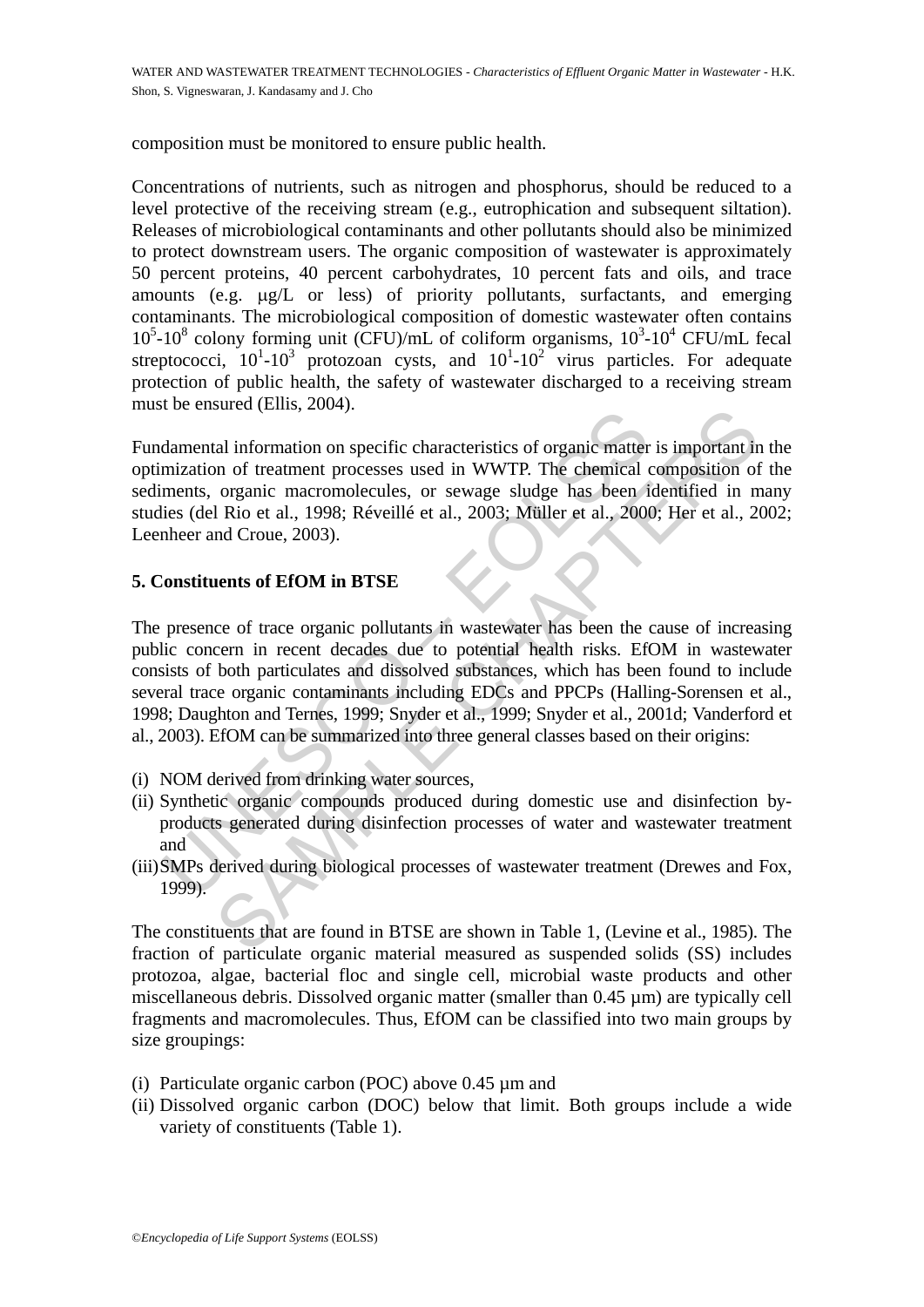composition must be monitored to ensure public health.

Concentrations of nutrients, such as nitrogen and phosphorus, should be reduced to a level protective of the receiving stream (e.g., eutrophication and subsequent siltation). Releases of microbiological contaminants and other pollutants should also be minimized to protect downstream users. The organic composition of wastewater is approximately 50 percent proteins, 40 percent carbohydrates, 10 percent fats and oils, and trace amounts (e.g. μg/L or less) of priority pollutants, surfactants, and emerging contaminants. The microbiological composition of domestic wastewater often contains  $10^5$ -10<sup>8</sup> colony forming unit (CFU)/mL of coliform organisms,  $10^3$ -10<sup>4</sup> CFU/mL fecal streptococci,  $10^{1}$ - $10^{3}$  protozoan cysts, and  $10^{1}$ - $10^{2}$  virus particles. For adequate protection of public health, the safety of wastewater discharged to a receiving stream must be ensured (Ellis, 2004).

Fundamental information on specific characteristics of organic matter is important in the optimization of treatment processes used in WWTP. The chemical composition of the sediments, organic macromolecules, or sewage sludge has been identified in many studies (del Rio et al., 1998; Réveillé et al., 2003; Müller et al., 2000; Her et al., 2002; Leenheer and Croue, 2003).

#### **5. Constituents of EfOM in BTSE**

damental information on specific characteristics of organic matter<br>mization of treatment processes used in WWTP. The chemical<br>ments, organic macromolecules, or sewage sludge has been i<br>ies (del Rio et al., 1998; Réveillé e and information on specific characteristics of organic matter is important in<br>or of treatment processes used in WWTP. The chemical composition of<br>organic macromolecules, or sewage sludge has been identified in m<br>and Croue The presence of trace organic pollutants in wastewater has been the cause of increasing public concern in recent decades due to potential health risks. EfOM in wastewater consists of both particulates and dissolved substances, which has been found to include several trace organic contaminants including EDCs and PPCPs (Halling-Sorensen et al., 1998; Daughton and Ternes, 1999; Snyder et al., 1999; Snyder et al., 2001d; Vanderford et al., 2003). EfOM can be summarized into three general classes based on their origins:

- (i) NOM derived from drinking water sources,
- (ii) Synthetic organic compounds produced during domestic use and disinfection byproducts generated during disinfection processes of water and wastewater treatment and
- (iii)SMPs derived during biological processes of wastewater treatment (Drewes and Fox, 1999).

The constituents that are found in BTSE are shown in Table 1, (Levine et al., 1985). The fraction of particulate organic material measured as suspended solids (SS) includes protozoa, algae, bacterial floc and single cell, microbial waste products and other miscellaneous debris. Dissolved organic matter (smaller than 0.45 µm) are typically cell fragments and macromolecules. Thus, EfOM can be classified into two main groups by size groupings:

- (i) Particulate organic carbon (POC) above 0.45 µm and
- (ii) Dissolved organic carbon (DOC) below that limit. Both groups include a wide variety of constituents (Table 1).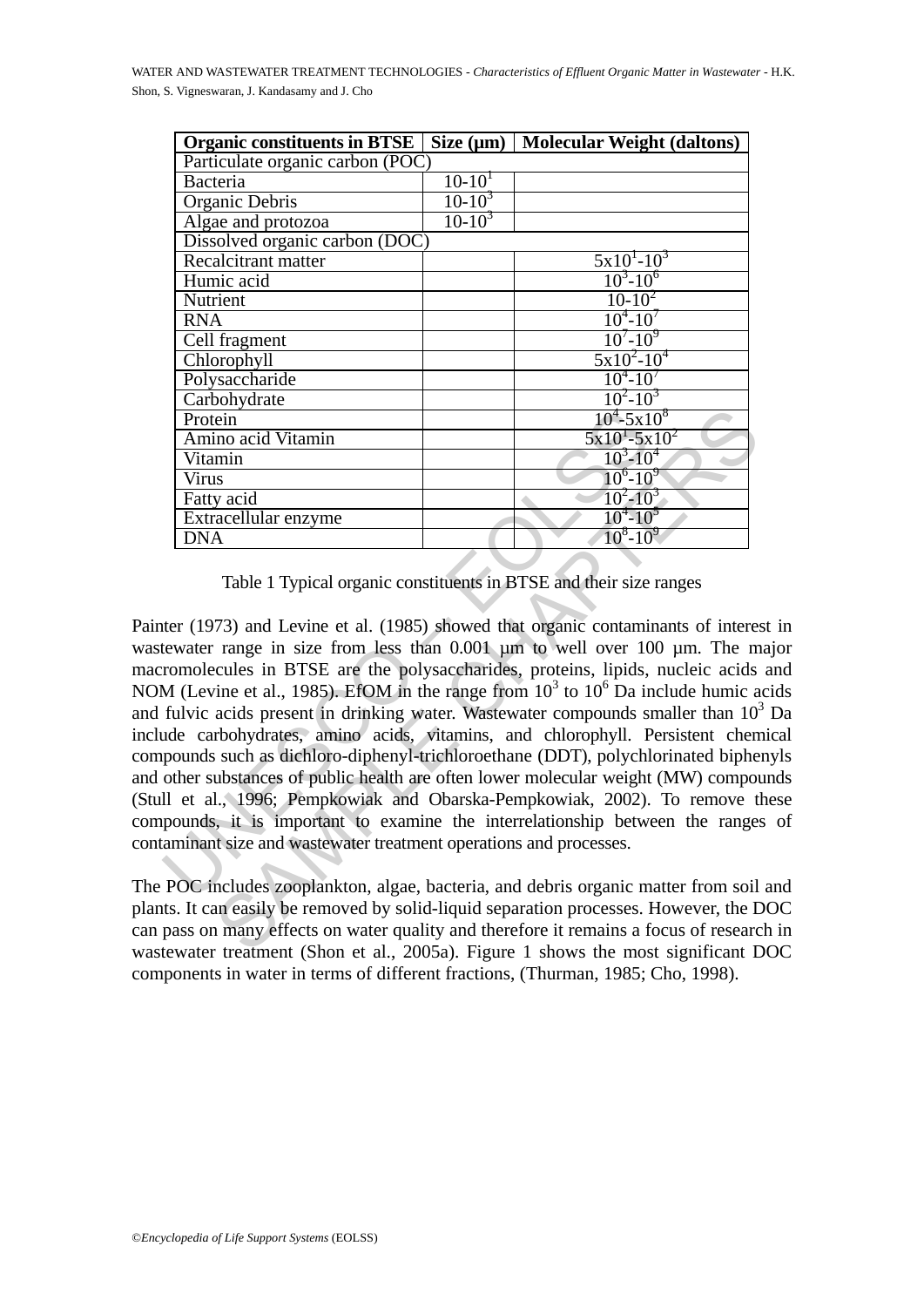| Particulate organic carbon (POC)<br>$10-10^{1}$<br><b>Bacteria</b><br>$10-10^3$<br>Organic Debris<br>$10-10^3$<br>Algae and protozoa<br>Dissolved organic carbon (DOC)<br>$5x10^{1}-10^{3}$<br>Recalcitrant matter<br>$10^3 - 10^6$<br>Humic acid<br>$10-10^2$<br>Nutrient<br>$10^4 - 10^7$<br><b>RNA</b><br>$10^{7} - 10^{9}$<br>Cell fragment<br>$5x10^2-10^4$<br>Chlorophyll<br>$10^4 - 10^7$<br>Polysaccharide<br>$10^2 - 10^3$<br>Carbohydrate<br>$10^4 - 5 \times 10^8$<br>Protein<br>$5x10^1 - 5x10^2$<br>Amino acid Vitamin<br>$10^3 - 10^4$<br>Vitamin | <b>Organic constituents in BTSE</b> | Size $(\mu m)$ | <b>Molecular Weight (daltons)</b> |  |
|-----------------------------------------------------------------------------------------------------------------------------------------------------------------------------------------------------------------------------------------------------------------------------------------------------------------------------------------------------------------------------------------------------------------------------------------------------------------------------------------------------------------------------------------------------------------|-------------------------------------|----------------|-----------------------------------|--|
|                                                                                                                                                                                                                                                                                                                                                                                                                                                                                                                                                                 |                                     |                |                                   |  |
|                                                                                                                                                                                                                                                                                                                                                                                                                                                                                                                                                                 |                                     |                |                                   |  |
|                                                                                                                                                                                                                                                                                                                                                                                                                                                                                                                                                                 |                                     |                |                                   |  |
|                                                                                                                                                                                                                                                                                                                                                                                                                                                                                                                                                                 |                                     |                |                                   |  |
|                                                                                                                                                                                                                                                                                                                                                                                                                                                                                                                                                                 |                                     |                |                                   |  |
|                                                                                                                                                                                                                                                                                                                                                                                                                                                                                                                                                                 |                                     |                |                                   |  |
|                                                                                                                                                                                                                                                                                                                                                                                                                                                                                                                                                                 |                                     |                |                                   |  |
|                                                                                                                                                                                                                                                                                                                                                                                                                                                                                                                                                                 |                                     |                |                                   |  |
|                                                                                                                                                                                                                                                                                                                                                                                                                                                                                                                                                                 |                                     |                |                                   |  |
|                                                                                                                                                                                                                                                                                                                                                                                                                                                                                                                                                                 |                                     |                |                                   |  |
|                                                                                                                                                                                                                                                                                                                                                                                                                                                                                                                                                                 |                                     |                |                                   |  |
|                                                                                                                                                                                                                                                                                                                                                                                                                                                                                                                                                                 |                                     |                |                                   |  |
|                                                                                                                                                                                                                                                                                                                                                                                                                                                                                                                                                                 |                                     |                |                                   |  |
|                                                                                                                                                                                                                                                                                                                                                                                                                                                                                                                                                                 |                                     |                |                                   |  |
|                                                                                                                                                                                                                                                                                                                                                                                                                                                                                                                                                                 |                                     |                |                                   |  |
|                                                                                                                                                                                                                                                                                                                                                                                                                                                                                                                                                                 |                                     |                |                                   |  |
| $10^6 - 10^9$<br><b>Virus</b>                                                                                                                                                                                                                                                                                                                                                                                                                                                                                                                                   |                                     |                |                                   |  |
| $10^2 - 10^3$<br>Fatty acid                                                                                                                                                                                                                                                                                                                                                                                                                                                                                                                                     |                                     |                |                                   |  |
| $10^{4} - 10^{5}$<br>Extracellular enzyme                                                                                                                                                                                                                                                                                                                                                                                                                                                                                                                       |                                     |                |                                   |  |
| $10^8 - 10^9$<br><b>DNA</b>                                                                                                                                                                                                                                                                                                                                                                                                                                                                                                                                     |                                     |                |                                   |  |

Table 1 Typical organic constituents in BTSE and their size ranges

**Example 10<sup>4</sup>-5x1**<br> **Example 2011**<br> **Example 2014**<br> **Example 2014**<br> **Example 2014**<br> **Example 2014**<br> **Example 2014**<br> **Example 2014**<br> **Example 2014**<br> **Example 2014**<br> **Example 2014**<br> **Example 2014**<br> **Example 2014**<br> **Example** SAMPLE CHAPTERS Painter (1973) and Levine et al. (1985) showed that organic contaminants of interest in wastewater range in size from less than 0.001  $\mu$ m to well over 100  $\mu$ m. The major macromolecules in BTSE are the polysaccharides, proteins, lipids, nucleic acids and NOM (Levine et al., 1985). EfOM in the range from  $10^3$  to  $10^6$  Da include humic acids and fulvic acids present in drinking water. Wastewater compounds smaller than  $10^3$  Da include carbohydrates, amino acids, vitamins, and chlorophyll. Persistent chemical compounds such as dichloro-diphenyl-trichloroethane (DDT), polychlorinated biphenyls and other substances of public health are often lower molecular weight (MW) compounds (Stull et al., 1996; Pempkowiak and Obarska-Pempkowiak, 2002). To remove these compounds, it is important to examine the interrelationship between the ranges of contaminant size and wastewater treatment operations and processes.

The POC includes zooplankton, algae, bacteria, and debris organic matter from soil and plants. It can easily be removed by solid-liquid separation processes. However, the DOC can pass on many effects on water quality and therefore it remains a focus of research in wastewater treatment (Shon et al., 2005a). Figure 1 shows the most significant DOC components in water in terms of different fractions, (Thurman, 1985; Cho, 1998).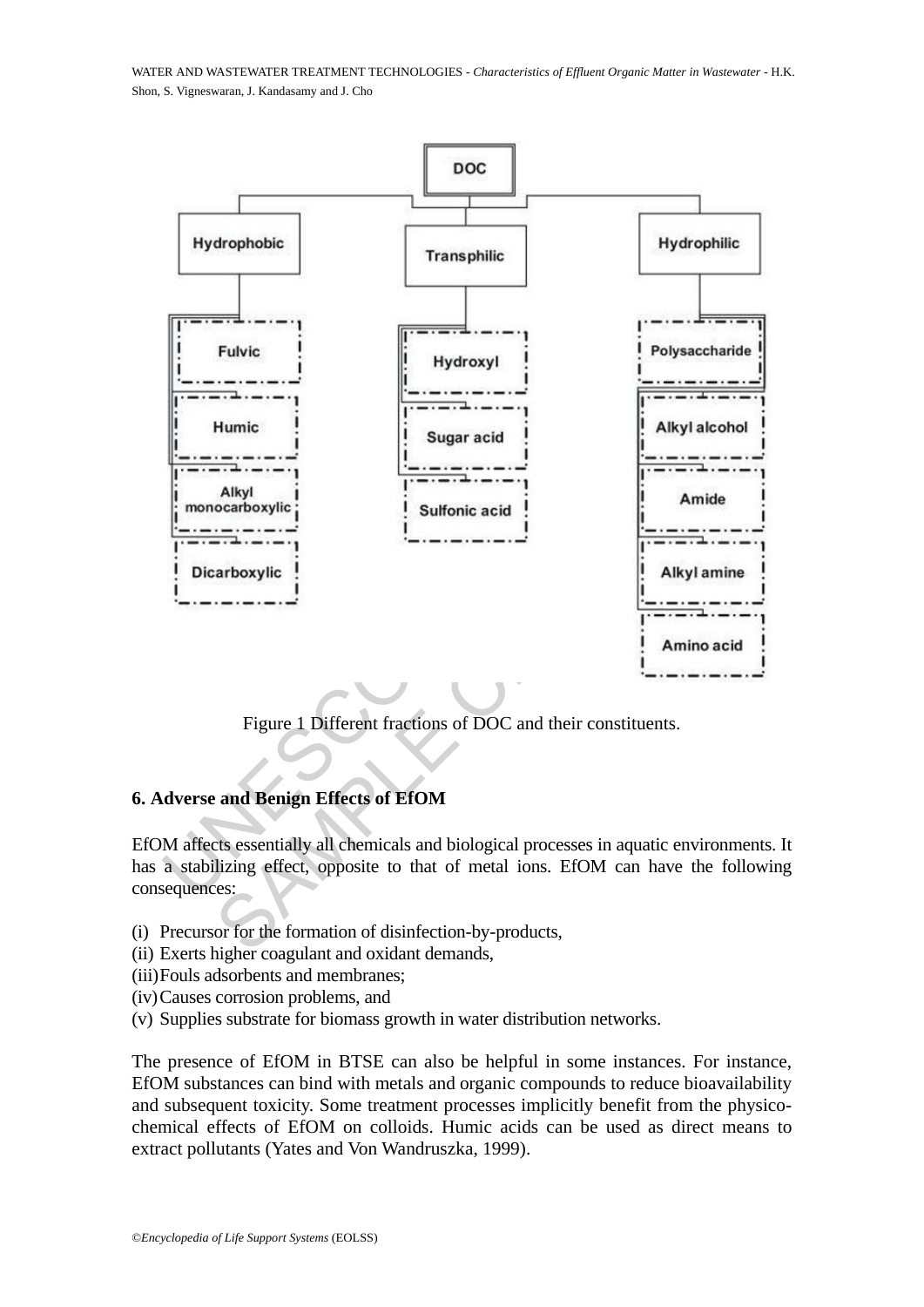

Figure 1 Different fractions of DOC and their constituents.

# **6. Adverse and Benign Effects of EfOM**

EfOM affects essentially all chemicals and biological processes in aquatic environments. It has a stabilizing effect, opposite to that of metal ions. EfOM can have the following consequences:

- (i) Precursor for the formation of disinfection-by-products,
- (ii) Exerts higher coagulant and oxidant demands,
- (iii)Fouls adsorbents and membranes;
- (iv)Causes corrosion problems, and
- (v) Supplies substrate for biomass growth in water distribution networks.

The presence of EfOM in BTSE can also be helpful in some instances. For instance, EfOM substances can bind with metals and organic compounds to reduce bioavailability and subsequent toxicity. Some treatment processes implicitly benefit from the physicochemical effects of EfOM on colloids. Humic acids can be used as direct means to extract pollutants (Yates and Von Wandruszka, 1999).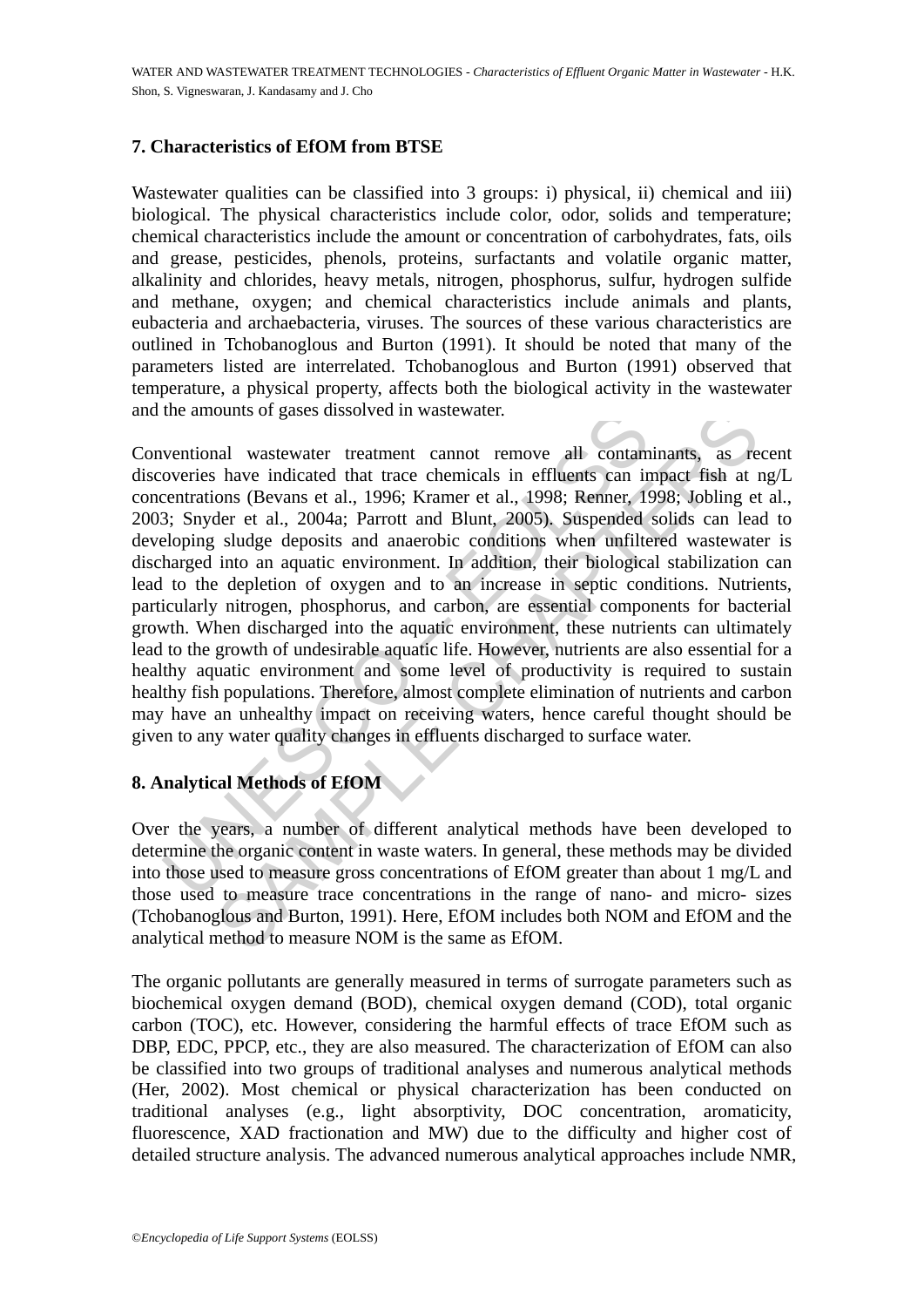## **7. Characteristics of EfOM from BTSE**

Wastewater qualities can be classified into 3 groups: i) physical, ii) chemical and iii) biological. The physical characteristics include color, odor, solids and temperature; chemical characteristics include the amount or concentration of carbohydrates, fats, oils and grease, pesticides, phenols, proteins, surfactants and volatile organic matter, alkalinity and chlorides, heavy metals, nitrogen, phosphorus, sulfur, hydrogen sulfide and methane, oxygen; and chemical characteristics include animals and plants, eubacteria and archaebacteria, viruses. The sources of these various characteristics are outlined in Tchobanoglous and Burton (1991). It should be noted that many of the parameters listed are interrelated. Tchobanoglous and Burton (1991) observed that temperature, a physical property, affects both the biological activity in the wastewater and the amounts of gases dissolved in wastewater.

the amounts of gases dissolved in wastewater.<br>
ventional wastewater treatment cannot remove all contam<br>
overies have indicated that trace chemicals in effluents can in<br>
centrations (Bevans et al., 1996; Kramer et al., 1998 ounts of gases dissolved in wastewater.<br>
and wastewater treatment cannot remove all contaminants, as re<br>
have indicated that trace chemicals in effluents can impact fish at 1<br>
ons (Bevans et al., 1996; Kramer et al., 1998; Conventional wastewater treatment cannot remove all contaminants, as recent discoveries have indicated that trace chemicals in effluents can impact fish at ng/L concentrations (Bevans et al., 1996; Kramer et al., 1998; Renner, 1998; Jobling et al., 2003; Snyder et al., 2004a; Parrott and Blunt, 2005). Suspended solids can lead to developing sludge deposits and anaerobic conditions when unfiltered wastewater is discharged into an aquatic environment. In addition, their biological stabilization can lead to the depletion of oxygen and to an increase in septic conditions. Nutrients, particularly nitrogen, phosphorus, and carbon, are essential components for bacterial growth. When discharged into the aquatic environment, these nutrients can ultimately lead to the growth of undesirable aquatic life. However, nutrients are also essential for a healthy aquatic environment and some level of productivity is required to sustain healthy fish populations. Therefore, almost complete elimination of nutrients and carbon may have an unhealthy impact on receiving waters, hence careful thought should be given to any water quality changes in effluents discharged to surface water.

# **8. Analytical Methods of EfOM**

Over the years, a number of different analytical methods have been developed to determine the organic content in waste waters. In general, these methods may be divided into those used to measure gross concentrations of EfOM greater than about 1 mg/L and those used to measure trace concentrations in the range of nano- and micro- sizes (Tchobanoglous and Burton, 1991). Here, EfOM includes both NOM and EfOM and the analytical method to measure NOM is the same as EfOM.

The organic pollutants are generally measured in terms of surrogate parameters such as biochemical oxygen demand (BOD), chemical oxygen demand (COD), total organic carbon (TOC), etc. However, considering the harmful effects of trace EfOM such as DBP, EDC, PPCP, etc., they are also measured. The characterization of EfOM can also be classified into two groups of traditional analyses and numerous analytical methods (Her, 2002). Most chemical or physical characterization has been conducted on traditional analyses (e.g., light absorptivity, DOC concentration, aromaticity, fluorescence, XAD fractionation and MW) due to the difficulty and higher cost of detailed structure analysis. The advanced numerous analytical approaches include NMR,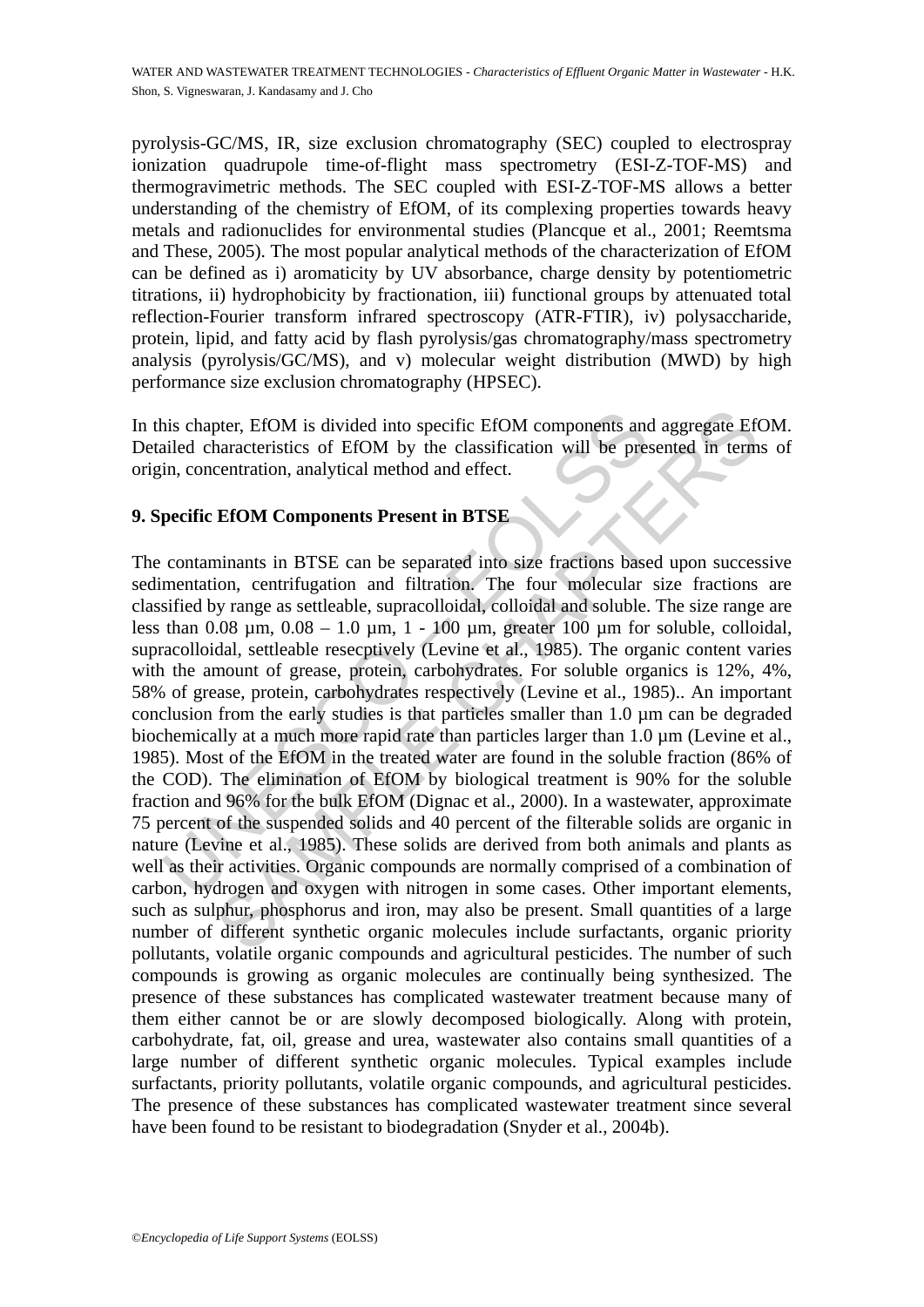pyrolysis-GC/MS, IR, size exclusion chromatography (SEC) coupled to electrospray ionization quadrupole time-of-flight mass spectrometry (ESI-Z-TOF-MS) and thermogravimetric methods. The SEC coupled with ESI-Z-TOF-MS allows a better understanding of the chemistry of EfOM, of its complexing properties towards heavy metals and radionuclides for environmental studies (Plancque et al., 2001; Reemtsma and These, 2005). The most popular analytical methods of the characterization of EfOM can be defined as i) aromaticity by UV absorbance, charge density by potentiometric titrations, ii) hydrophobicity by fractionation, iii) functional groups by attenuated total reflection-Fourier transform infrared spectroscopy (ATR-FTIR), iv) polysaccharide, protein, lipid, and fatty acid by flash pyrolysis/gas chromatography/mass spectrometry analysis (pyrolysis/GC/MS), and v) molecular weight distribution (MWD) by high performance size exclusion chromatography (HPSEC).

In this chapter, EfOM is divided into specific EfOM components and aggregate EfOM. Detailed characteristics of EfOM by the classification will be presented in terms of origin, concentration, analytical method and effect.

# **9. Specific EfOM Components Present in BTSE**

ais chapter, EfOM is divided into specific EfOM components and<br>ailed characteristics of EfOM by the classification will be pre-<br>in, concentration, analytical method and effect.<br>**pecific EfOM Components Present in BTSE**<br>co pter, EfOM is divided into specific EfOM components and aggregate Eft<br>haracteristics of EfOM by the classification will be presented in term<br>centration, analytical method and effect.<br>**EfOM Components Present in BTSE**<br>**EfOM** The contaminants in BTSE can be separated into size fractions based upon successive sedimentation, centrifugation and filtration. The four molecular size fractions are classified by range as settleable, supracolloidal, colloidal and soluble. The size range are less than  $0.08 \mu m$ ,  $0.08 - 1.0 \mu m$ , 1 - 100  $\mu m$ , greater 100  $\mu m$  for soluble, colloidal, supracolloidal, settleable resecptively (Levine et al., 1985). The organic content varies with the amount of grease, protein, carbohydrates. For soluble organics is 12%, 4%, 58% of grease, protein, carbohydrates respectively (Levine et al., 1985).. An important conclusion from the early studies is that particles smaller than 1.0 µm can be degraded biochemically at a much more rapid rate than particles larger than 1.0  $\mu$ m (Levine et al., 1985). Most of the EfOM in the treated water are found in the soluble fraction (86% of the COD). The elimination of EfOM by biological treatment is 90% for the soluble fraction and 96% for the bulk EfOM (Dignac et al., 2000). In a wastewater, approximate 75 percent of the suspended solids and 40 percent of the filterable solids are organic in nature (Levine et al., 1985). These solids are derived from both animals and plants as well as their activities. Organic compounds are normally comprised of a combination of carbon, hydrogen and oxygen with nitrogen in some cases. Other important elements, such as sulphur, phosphorus and iron, may also be present. Small quantities of a large number of different synthetic organic molecules include surfactants, organic priority pollutants, volatile organic compounds and agricultural pesticides. The number of such compounds is growing as organic molecules are continually being synthesized. The presence of these substances has complicated wastewater treatment because many of them either cannot be or are slowly decomposed biologically. Along with protein, carbohydrate, fat, oil, grease and urea, wastewater also contains small quantities of a large number of different synthetic organic molecules. Typical examples include surfactants, priority pollutants, volatile organic compounds, and agricultural pesticides. The presence of these substances has complicated wastewater treatment since several have been found to be resistant to biodegradation (Snyder et al., 2004b).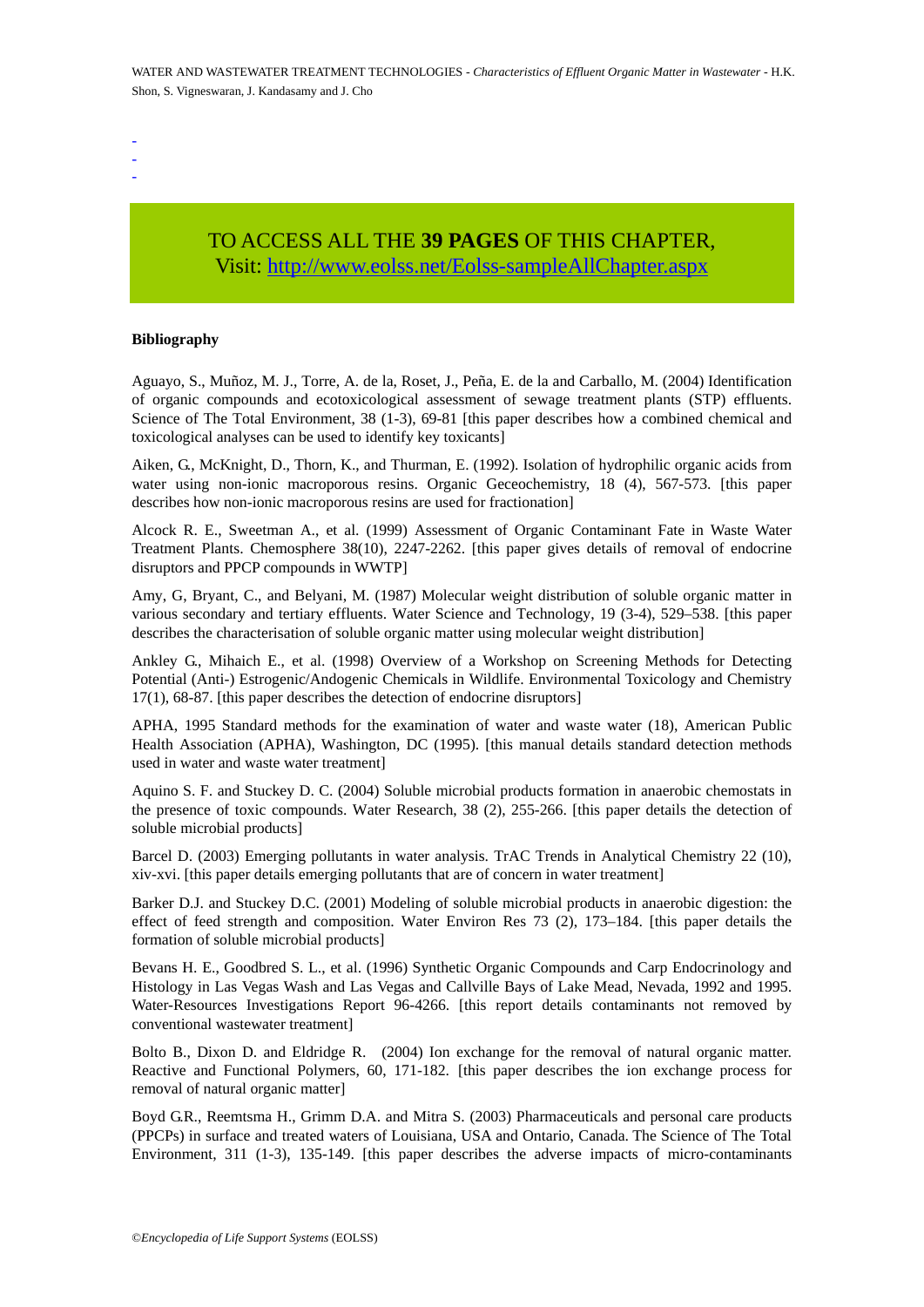- -

-

# TO ACCESS ALL THE **39 PAGES** OF THIS CHAPTER, Visit[: http://www.eolss.net/Eolss-sampleAllChapter.aspx](https://www.eolss.net/ebooklib/sc_cart.aspx?File=E6-144-01)

#### **Bibliography**

Aguayo, S., Muñoz, M. J., Torre, A. de la, Roset, J., Peña, E. de la and Carballo, M. (2004) Identification of organic compounds and ecotoxicological assessment of sewage treatment plants (STP) effluents. Science of The Total Environment, 38 (1-3), 69-81 [this paper describes how a combined chemical and toxicological analyses can be used to identify key toxicants]

Aiken, G., McKnight, D., Thorn, K., and Thurman, E. (1992). Isolation of hydrophilic organic acids from water using non-ionic macroporous resins. Organic Geceochemistry, 18 (4), 567-573. [this paper describes how non-ionic macroporous resins are used for fractionation]

Alcock R. E., Sweetman A., et al. (1999) Assessment of Organic Contaminant Fate in Waste Water Treatment Plants. Chemosphere 38(10), 2247-2262. [this paper gives details of removal of endocrine disruptors and PPCP compounds in WWTP]

Amy, G, Bryant, C., and Belyani, M. (1987) Molecular weight distribution of soluble organic matter in various secondary and tertiary effluents. Water Science and Technology, 19 (3-4), 529–538. [this paper describes the characterisation of soluble organic matter using molecular weight distribution]

nce of The Total Environment, 38 (1-3), 69-81 [this paper describes how a cological analyses can be used to identify key toxicants]<br>
n, G, McKnight, D,, Thorn, K., and Thurman, E. (1992). Isolation of hydroph<br>
r using nonthe Total Environment, 38 ( $1-3$ ), 69-81 [this paper describes how a combined chemica<br>analyses can be used to identify key toxicants]<br>cKhight, D,, Thom, K., and Thurman, E. (1992). Isolation of hydrophilic organic acids<br>n Ankley G., Mihaich E., et al. (1998) Overview of a Workshop on Screening Methods for Detecting Potential (Anti-) Estrogenic/Andogenic Chemicals in Wildlife. Environmental Toxicology and Chemistry 17(1), 68-87. [this paper describes the detection of endocrine disruptors]

APHA, 1995 Standard methods for the examination of water and waste water (18), American Public Health Association (APHA), Washington, DC (1995). [this manual details standard detection methods used in water and waste water treatment]

Aquino S. F. and Stuckey D. C. (2004) Soluble microbial products formation in anaerobic chemostats in the presence of toxic compounds. Water Research, 38 (2), 255-266. [this paper details the detection of soluble microbial products]

Barcel D. (2003) Emerging pollutants in water analysis. TrAC Trends in Analytical Chemistry 22 (10), xiv-xvi. [this paper details emerging pollutants that are of concern in water treatment]

Barker D.J. and Stuckey D.C. (2001) Modeling of soluble microbial products in anaerobic digestion: the effect of feed strength and composition. Water Environ Res 73 (2), 173–184. [this paper details the formation of soluble microbial products]

Bevans H. E., Goodbred S. L., et al. (1996) Synthetic Organic Compounds and Carp Endocrinology and Histology in Las Vegas Wash and Las Vegas and Callville Bays of Lake Mead, Nevada, 1992 and 1995. Water-Resources Investigations Report 96-4266. [this report details contaminants not removed by conventional wastewater treatment]

Bolto B., Dixon D. and Eldridge R. (2004) Ion exchange for the removal of natural organic matter. Reactive and Functional Polymers, 60, 171-182. [this paper describes the ion exchange process for removal of natural organic matter]

Boyd G.R., Reemtsma H., Grimm D.A. and Mitra S. (2003) Pharmaceuticals and personal care products (PPCPs) in surface and treated waters of Louisiana, USA and Ontario, Canada. The Science of The Total Environment, 311 (1-3), 135-149. [this paper describes the adverse impacts of micro-contaminants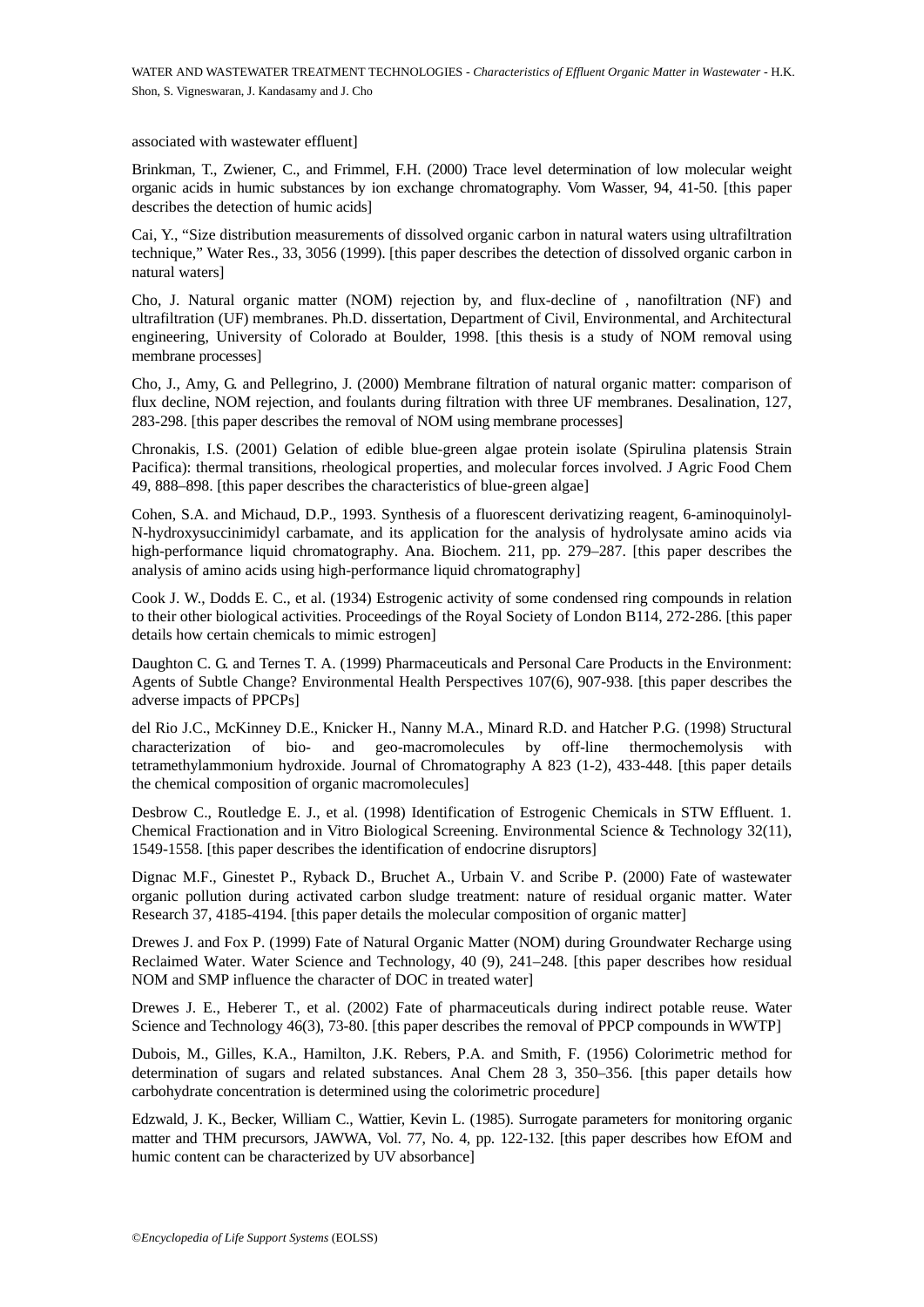associated with wastewater effluent]

Brinkman, T., Zwiener, C., and Frimmel, F.H. (2000) Trace level determination of low molecular weight organic acids in humic substances by ion exchange chromatography. Vom Wasser, 94, 41-50. [this paper describes the detection of humic acids]

Cai, Y., "Size distribution measurements of dissolved organic carbon in natural waters using ultrafiltration technique," Water Res., 33, 3056 (1999). [this paper describes the detection of dissolved organic carbon in natural waters]

Cho, J. Natural organic matter (NOM) rejection by, and flux-decline of , nanofiltration (NF) and ultrafiltration (UF) membranes. Ph.D. dissertation, Department of Civil, Environmental, and Architectural engineering, University of Colorado at Boulder, 1998. [this thesis is a study of NOM removal using membrane processes]

Cho, J., Amy, G. and Pellegrino, J. (2000) Membrane filtration of natural organic matter: comparison of flux decline, NOM rejection, and foulants during filtration with three UF membranes. Desalination, 127, 283-298. [this paper describes the removal of NOM using membrane processes]

Chronakis, I.S. (2001) Gelation of edible blue-green algae protein isolate (Spirulina platensis Strain Pacifica): thermal transitions, rheological properties, and molecular forces involved. J Agric Food Chem 49, 888–898. [this paper describes the characteristics of blue-green algae]

Cohen, S.A. and Michaud, D.P., 1993. Synthesis of a fluorescent derivatizing reagent, 6-aminoquinolyl-N-hydroxysuccinimidyl carbamate, and its application for the analysis of hydrolysate amino acids via high-performance liquid chromatography. Ana. Biochem. 211, pp. 279–287. [this paper describes the analysis of amino acids using high-performance liquid chromatography]

Cook J. W., Dodds E. C., et al. (1934) Estrogenic activity of some condensed ring compounds in relation to their other biological activities. Proceedings of the Royal Society of London B114, 272-286. [this paper details how certain chemicals to mimic estrogen]

Daughton C. G. and Ternes T. A. (1999) Pharmaceuticals and Personal Care Products in the Environment: Agents of Subtle Change? Environmental Health Perspectives 107(6), 907-938. [this paper describes the adverse impacts of PPCPs]

298. [this paper describes the removal of NOM using membrane processes]<br>298. [this paper describes the removal of NOM using membrane processes]<br>makis, I.S. (2001) Gelation of edible blue-green algae protein isolate (Spi<br>ci From Figuresia, an around and Tarty matter of the space and the space and a space describes the removal of NOM using membrane processes]<br>
S. (2001) Gelation of edible blue-green algae protein isolate (Spirulina platensis del Rio J.C., McKinney D.E., Knicker H., Nanny M.A., Minard R.D. and Hatcher P.G. (1998) Structural characterization of bio- and geo-macromolecules by off-line thermochemolysis with tetramethylammonium hydroxide. Journal of Chromatography A 823 (1-2), 433-448. [this paper details the chemical composition of organic macromolecules]

Desbrow C., Routledge E. J., et al. (1998) Identification of Estrogenic Chemicals in STW Effluent. 1. Chemical Fractionation and in Vitro Biological Screening. Environmental Science & Technology 32(11), 1549-1558. [this paper describes the identification of endocrine disruptors]

Dignac M.F., Ginestet P., Ryback D., Bruchet A., Urbain V. and Scribe P. (2000) Fate of wastewater organic pollution during activated carbon sludge treatment: nature of residual organic matter. Water Research 37, 4185-4194. [this paper details the molecular composition of organic matter]

Drewes J. and Fox P. (1999) Fate of Natural Organic Matter (NOM) during Groundwater Recharge using Reclaimed Water. Water Science and Technology, 40 (9), 241–248. [this paper describes how residual NOM and SMP influence the character of DOC in treated water]

Drewes J. E., Heberer T., et al. (2002) Fate of pharmaceuticals during indirect potable reuse. Water Science and Technology 46(3), 73-80. [this paper describes the removal of PPCP compounds in WWTP]

Dubois, M., Gilles, K.A., Hamilton, J.K. Rebers, P.A. and Smith, F. (1956) Colorimetric method for determination of sugars and related substances. Anal Chem 28 3, 350–356. [this paper details how carbohydrate concentration is determined using the colorimetric procedure]

Edzwald, J. K., Becker, William C., Wattier, Kevin L. (1985). Surrogate parameters for monitoring organic matter and THM precursors, JAWWA, Vol. 77, No. 4, pp. 122-132. [this paper describes how EfOM and humic content can be characterized by UV absorbance]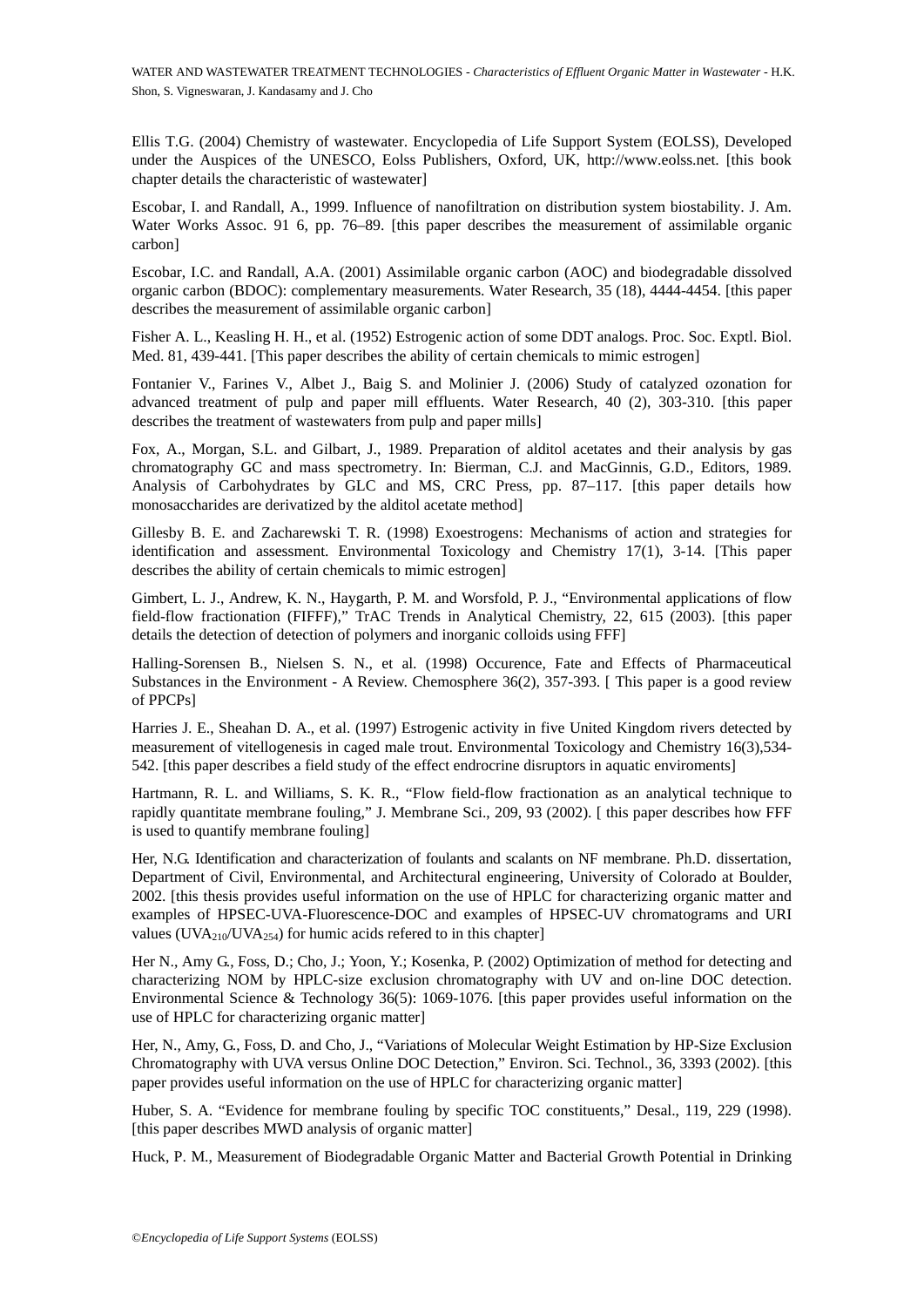Ellis T.G. (2004) Chemistry of wastewater. Encyclopedia of Life Support System (EOLSS), Developed under the Auspices of the UNESCO, Eolss Publishers, Oxford, UK, http://www.eolss.net. [this book chapter details the characteristic of wastewater]

Escobar, I. and Randall, A., 1999. Influence of nanofiltration on distribution system biostability. J. Am. Water Works Assoc. 91 6, pp. 76–89. [this paper describes the measurement of assimilable organic carbon]

Escobar, I.C. and Randall, A.A. (2001) Assimilable organic carbon (AOC) and biodegradable dissolved organic carbon (BDOC): complementary measurements. Water Research, 35 (18), 4444-4454. [this paper describes the measurement of assimilable organic carbon]

Fisher A. L., Keasling H. H., et al. (1952) Estrogenic action of some DDT analogs. Proc. Soc. Exptl. Biol. Med. 81, 439-441. [This paper describes the ability of certain chemicals to mimic estrogen]

Fontanier V., Farines V., Albet J., Baig S. and Molinier J. (2006) Study of catalyzed ozonation for advanced treatment of pulp and paper mill effluents. Water Research, 40 (2), 303-310. [this paper describes the treatment of wastewaters from pulp and paper mills]

The treatment of visibles are detection of pather and respectively. The summanny A.C., The University C.C. and MacGinnis, A.C. Morgan, S.L. and Gilbart, J., 1989. Preparation of alditol acetates and matography GC and mass Fox, A., Morgan, S.L. and Gilbart, J., 1989. Preparation of alditol acetates and their analysis by gas chromatography GC and mass spectrometry. In: Bierman, C.J. and MacGinnis, G.D., Editors, 1989. Analysis of Carbohydrates by GLC and MS, CRC Press, pp. 87–117. [this paper details how monosaccharides are derivatized by the alditol acetate method]

Gillesby B. E. and Zacharewski T. R. (1998) Exoestrogens: Mechanisms of action and strategies for identification and assessment. Environmental Toxicology and Chemistry 17(1), 3-14. [This paper describes the ability of certain chemicals to mimic estrogen]

Gimbert, L. J., Andrew, K. N., Haygarth, P. M. and Worsfold, P. J., "Environmental applications of flow field-flow fractionation (FIFFF)," TrAC Trends in Analytical Chemistry, 22, 615 (2003). [this paper details the detection of detection of polymers and inorganic colloids using FFF]

Halling-Sorensen B., Nielsen S. N., et al. (1998) Occurence, Fate and Effects of Pharmaceutical Substances in the Environment - A Review. Chemosphere 36(2), 357-393. [ This paper is a good review of PPCPs]

Harries J. E., Sheahan D. A., et al. (1997) Estrogenic activity in five United Kingdom rivers detected by measurement of vitellogenesis in caged male trout. Environmental Toxicology and Chemistry 16(3),534- 542. [this paper describes a field study of the effect endrocrine disruptors in aquatic enviroments]

Hartmann, R. L. and Williams, S. K. R., "Flow field-flow fractionation as an analytical technique to rapidly quantitate membrane fouling," J. Membrane Sci., 209, 93 (2002). [ this paper describes how FFF is used to quantify membrane fouling]

The matrix of paper and paper mini-matrix. The the colonic treatment of wastewaters from pulp and paper mills]<br>
reanment of wastewaters from pulp and paper mills]<br>
reanment of wastewaters from pulp and paper mills]<br>
reanm Her, N.G. Identification and characterization of foulants and scalants on NF membrane. Ph.D. dissertation, Department of Civil, Environmental, and Architectural engineering, University of Colorado at Boulder, 2002. [this thesis provides useful information on the use of HPLC for characterizing organic matter and examples of HPSEC-UVA-Fluorescence-DOC and examples of HPSEC-UV chromatograms and URI values (UVA<sub>210</sub>/UVA<sub>254</sub>) for humic acids refered to in this chapter]

Her N., Amy G., Foss, D.; Cho, J.; Yoon, Y.; Kosenka, P. (2002) Optimization of method for detecting and characterizing NOM by HPLC-size exclusion chromatography with UV and on-line DOC detection. Environmental Science & Technology 36(5): 1069-1076. [this paper provides useful information on the use of HPLC for characterizing organic matter]

Her, N., Amy, G., Foss, D. and Cho, J., "Variations of Molecular Weight Estimation by HP-Size Exclusion Chromatography with UVA versus Online DOC Detection," Environ. Sci. Technol., 36, 3393 (2002). [this paper provides useful information on the use of HPLC for characterizing organic matter]

Huber, S. A. "Evidence for membrane fouling by specific TOC constituents," Desal., 119, 229 (1998). [this paper describes MWD analysis of organic matter]

Huck, P. M., Measurement of Biodegradable Organic Matter and Bacterial Growth Potential in Drinking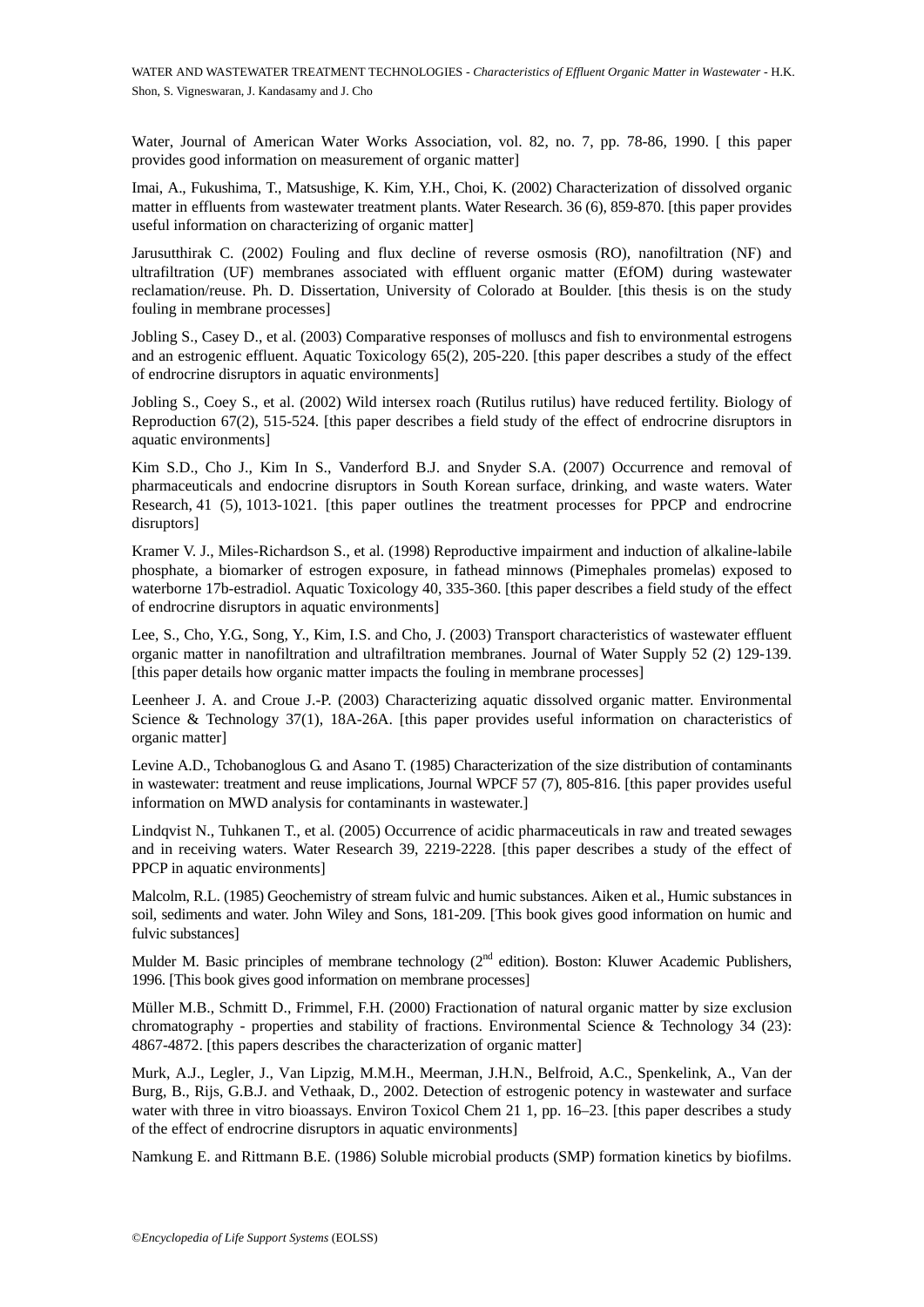Water, Journal of American Water Works Association, vol. 82, no. 7, pp. 78-86, 1990. [ this paper provides good information on measurement of organic matter]

Imai, A., Fukushima, T., Matsushige, K. Kim, Y.H., Choi, K. (2002) Characterization of dissolved organic matter in effluents from wastewater treatment plants. Water Research. 36 (6), 859-870. [this paper provides useful information on characterizing of organic matter]

Jarusutthirak C. (2002) Fouling and flux decline of reverse osmosis (RO), nanofiltration (NF) and ultrafiltration (UF) membranes associated with effluent organic matter (EfOM) during wastewater reclamation/reuse. Ph. D. Dissertation, University of Colorado at Boulder. [this thesis is on the study fouling in membrane processes]

Jobling S., Casey D., et al. (2003) Comparative responses of molluscs and fish to environmental estrogens and an estrogenic effluent. Aquatic Toxicology 65(2), 205-220. [this paper describes a study of the effect of endrocrine disruptors in aquatic environments]

Jobling S., Coey S., et al. (2002) Wild intersex roach (Rutilus rutilus) have reduced fertility. Biology of Reproduction 67(2), 515-524. [this paper describes a field study of the effect of endrocrine disruptors in aquatic environments]

eration 67(2), 515-524. [this paper describes a field study of the effect of eite environments]<br>
S.D., Cho J., Kim In S., Vanderford B.J. and Snyder S.A. (2007) Occurre<br>
anceolution 67(2), 515-524. [this paper describes a sol, et al. (2005)<br>
For the significant matter content of the effect of endrocrine disrupted<br>
for  $67(2)$ , 515-524. (this paper describes a field study of the effect of endrocrine disruption<br>
comments)<br>
comments and endoc Kim S.D., Cho J., Kim In S., Vanderford B.J. and Snyder S.A. (2007) Occurrence and removal of pharmaceuticals and endocrine disruptors in South Korean surface, drinking, and waste waters. Water Research, 41 (5), 1013-1021. [this paper outlines the treatment processes for PPCP and endrocrine disruptors]

Kramer V. J., Miles-Richardson S., et al. (1998) Reproductive impairment and induction of alkaline-labile phosphate, a biomarker of estrogen exposure, in fathead minnows (Pimephales promelas) exposed to waterborne 17b-estradiol. Aquatic Toxicology 40, 335-360. [this paper describes a field study of the effect of endrocrine disruptors in aquatic environments]

Lee, S., Cho, Y.G., Song, Y., Kim, I.S. and Cho, J. (2003) Transport characteristics of wastewater effluent organic matter in nanofiltration and ultrafiltration membranes. Journal of Water Supply 52 (2) 129-139. [this paper details how organic matter impacts the fouling in membrane processes]

Leenheer J. A. and Croue J.-P. (2003) Characterizing aquatic dissolved organic matter. Environmental Science & Technology 37(1), 18A-26A. [this paper provides useful information on characteristics of organic matter]

Levine A.D., Tchobanoglous G. and Asano T. (1985) Characterization of the size distribution of contaminants in wastewater: treatment and reuse implications, Journal WPCF 57 (7), 805-816. [this paper provides useful information on MWD analysis for contaminants in wastewater.]

Lindqvist N., Tuhkanen T., et al. (2005) Occurrence of acidic pharmaceuticals in raw and treated sewages and in receiving waters. Water Research 39, 2219-2228. [this paper describes a study of the effect of PPCP in aquatic environments]

Malcolm, R.L. (1985) Geochemistry of stream fulvic and humic substances. Aiken et al., Humic substances in soil, sediments and water. John Wiley and Sons, 181-209. [This book gives good information on humic and fulvic substances]

Mulder M. Basic principles of membrane technology  $(2<sup>nd</sup>$  edition). Boston: Kluwer Academic Publishers, 1996. [This book gives good information on membrane processes]

Müller M.B., Schmitt D., Frimmel, F.H. (2000) Fractionation of natural organic matter by size exclusion chromatography - properties and stability of fractions. Environmental Science & Technology 34 (23): 4867-4872. [this papers describes the characterization of organic matter]

Murk, A.J., Legler, J., Van Lipzig, M.M.H., Meerman, J.H.N., Belfroid, A.C., Spenkelink, A., Van der Burg, B., Rijs, G.B.J. and Vethaak, D., 2002. Detection of estrogenic potency in wastewater and surface water with three in vitro bioassays. Environ Toxicol Chem 21 1, pp. 16–23. [this paper describes a study of the effect of endrocrine disruptors in aquatic environments]

Namkung E. and Rittmann B.E. (1986) Soluble microbial products (SMP) formation kinetics by biofilms.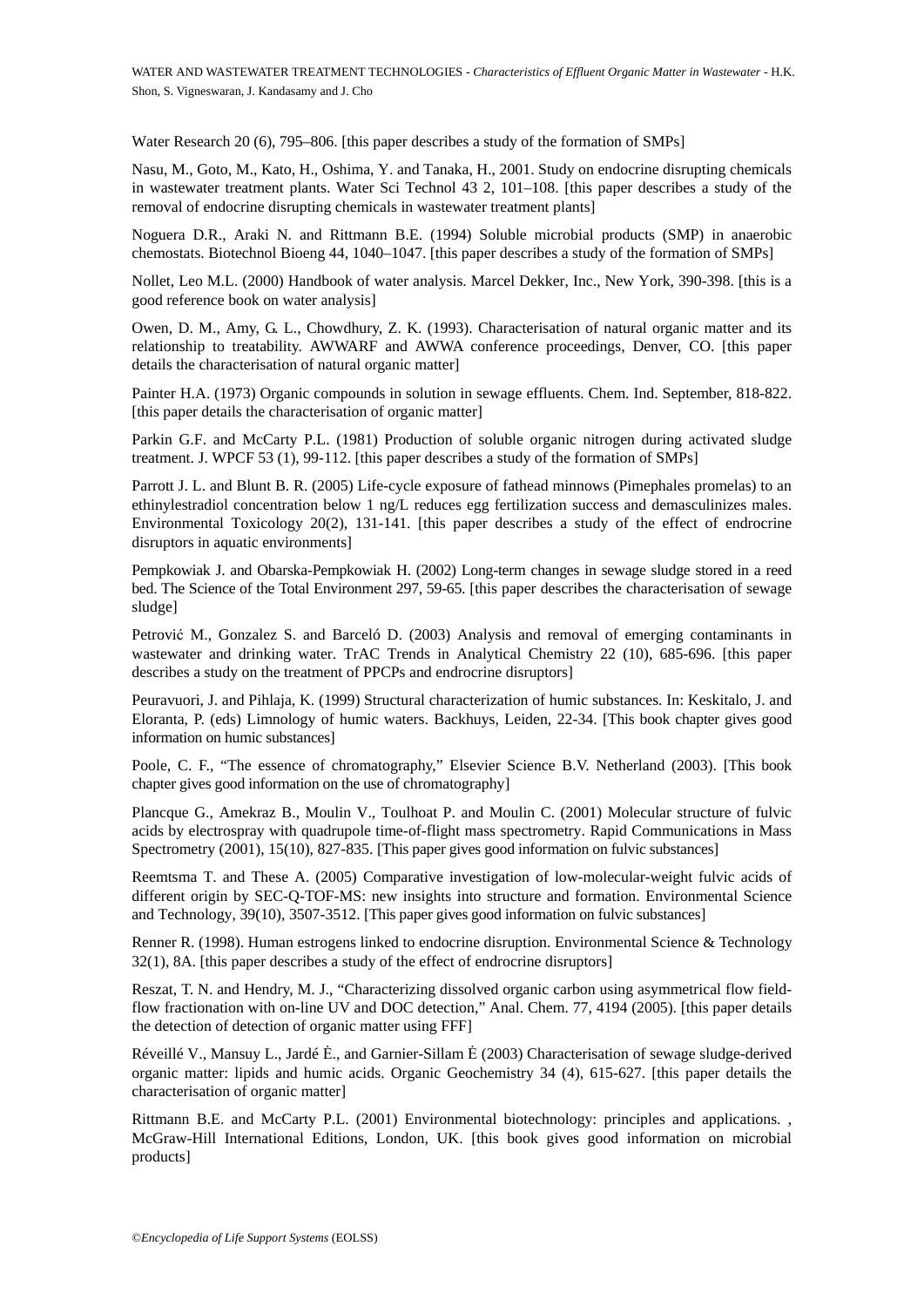Water Research 20 (6), 795–806. [this paper describes a study of the formation of SMPs]

Nasu, M., Goto, M., Kato, H., Oshima, Y. and Tanaka, H., 2001. Study on endocrine disrupting chemicals in wastewater treatment plants. Water Sci Technol 43 2, 101–108. [this paper describes a study of the removal of endocrine disrupting chemicals in wastewater treatment plants]

Noguera D.R., Araki N. and Rittmann B.E. (1994) Soluble microbial products (SMP) in anaerobic chemostats. Biotechnol Bioeng 44, 1040–1047. [this paper describes a study of the formation of SMPs]

Nollet, Leo M.L. (2000) Handbook of water analysis. Marcel Dekker, Inc., New York, 390-398. [this is a good reference book on water analysis]

Owen, D. M., Amy, G. L., Chowdhury, Z. K. (1993). Characterisation of natural organic matter and its relationship to treatability. AWWARF and AWWA conference proceedings, Denver, CO. [this paper details the characterisation of natural organic matter]

Painter H.A. (1973) Organic compounds in solution in sewage effluents. Chem. Ind. September, 818-822. [this paper details the characterisation of organic matter]

Parkin G.F. and McCarty P.L. (1981) Production of soluble organic nitrogen during activated sludge treatment. J. WPCF 53 (1), 99-112. [this paper describes a study of the formation of SMPs]

paper details the characterisation of organic matter]<br>in G.F. and McCarty P.L. (1981) Production of soluble organic nitrogen d<br>ment. J. WPCF 53 (1), 99-112. [this paper describes a study of the formation of<br>let J. L. and B tails the characterisation of organic matter]<br>and MCCarty P.L. (1981) Production of soluble organic nitrogen during activated sl<br>aWPCF 53 (1), 99-112. (this paper describes a study of the formation of SMPs]<br>and Blunt B. R. Parrott J. L. and Blunt B. R. (2005) Life-cycle exposure of fathead minnows (Pimephales promelas) to an ethinylestradiol concentration below 1 ng/L reduces egg fertilization success and demasculinizes males. Environmental Toxicology 20(2), 131-141. [this paper describes a study of the effect of endrocrine disruptors in aquatic environments]

Pempkowiak J. and Obarska-Pempkowiak H. (2002) Long-term changes in sewage sludge stored in a reed bed. The Science of the Total Environment 297, 59-65. [this paper describes the characterisation of sewage sludge]

Petrović M., Gonzalez S. and Barceló D. (2003) Analysis and removal of emerging contaminants in wastewater and drinking water. TrAC Trends in Analytical Chemistry 22 (10), 685-696. [this paper describes a study on the treatment of PPCPs and endrocrine disruptors]

Peuravuori, J. and Pihlaja, K. (1999) Structural characterization of humic substances. In: Keskitalo, J. and Eloranta, P. (eds) Limnology of humic waters. Backhuys, Leiden, 22-34. [This book chapter gives good information on humic substances]

Poole, C. F., "The essence of chromatography," Elsevier Science B.V. Netherland (2003). [This book chapter gives good information on the use of chromatography]

Plancque G., Amekraz B., Moulin V., Toulhoat P. and Moulin C. (2001) Molecular structure of fulvic acids by electrospray with quadrupole time-of-flight mass spectrometry. Rapid Communications in Mass Spectrometry (2001), 15(10), 827-835. [This paper gives good information on fulvic substances]

Reemtsma T. and These A. (2005) Comparative investigation of low-molecular-weight fulvic acids of different origin by SEC-Q-TOF-MS: new insights into structure and formation. Environmental Science and Technology, 39(10), 3507-3512. [This paper gives good information on fulvic substances]

Renner R. (1998). Human estrogens linked to endocrine disruption. Environmental Science & Technology 32(1), 8A. [this paper describes a study of the effect of endrocrine disruptors]

Reszat, T. N. and Hendry, M. J., "Characterizing dissolved organic carbon using asymmetrical flow fieldflow fractionation with on-line UV and DOC detection," Anal. Chem. 77, 4194 (2005). [this paper details the detection of detection of organic matter using FFF]

Réveillé V., Mansuy L., Jardé Ė., and Garnier-Sillam Ė (2003) Characterisation of sewage sludge-derived organic matter: lipids and humic acids. Organic Geochemistry 34 (4), 615-627. [this paper details the characterisation of organic matter]

Rittmann B.E. and McCarty P.L. (2001) Environmental biotechnology: principles and applications. , McGraw-Hill International Editions, London, UK. [this book gives good information on microbial products]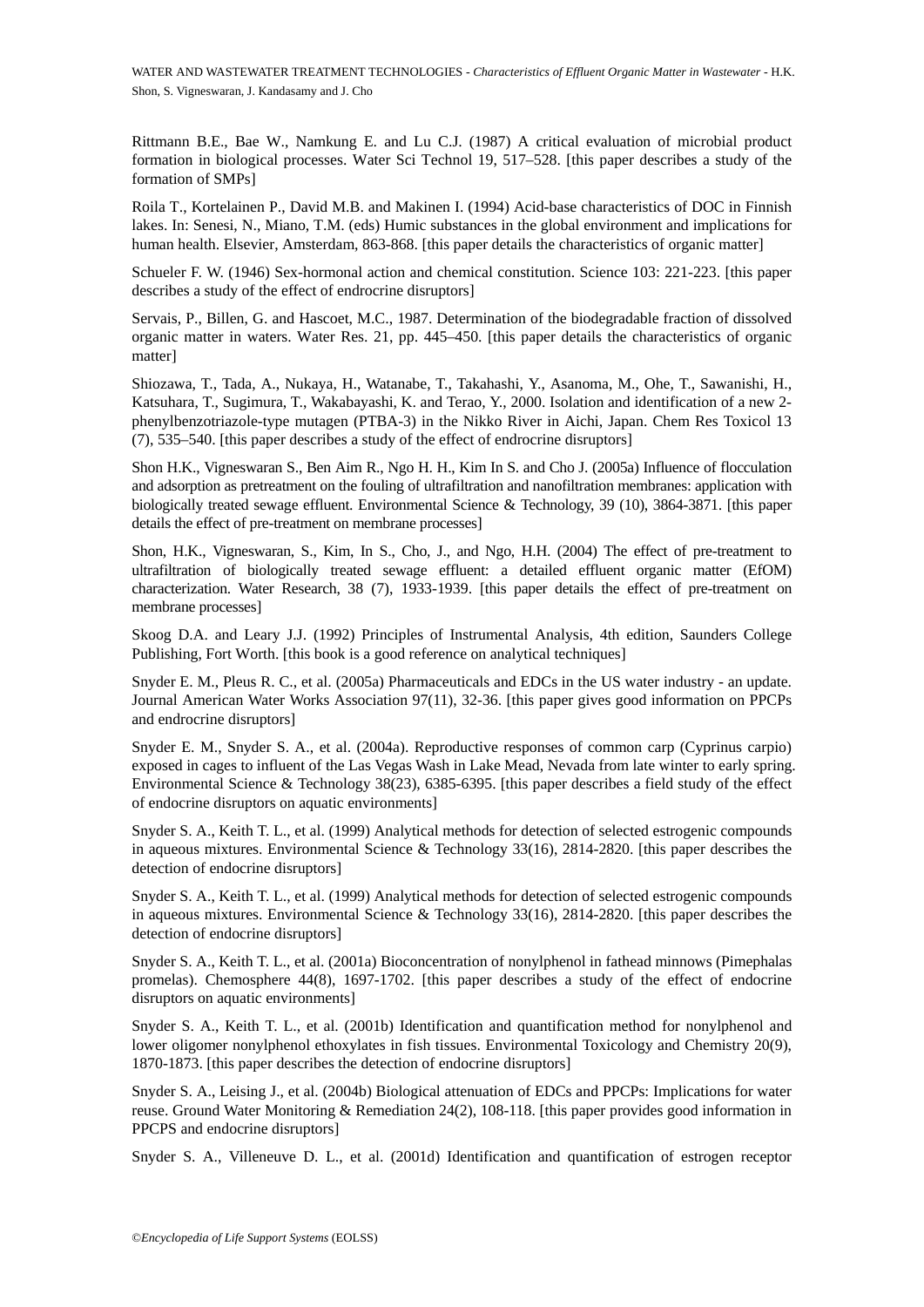Rittmann B.E., Bae W., Namkung E. and Lu C.J. (1987) A critical evaluation of microbial product formation in biological processes. Water Sci Technol 19, 517–528. [this paper describes a study of the formation of SMPs]

Roila T., Kortelainen P., David M.B. and Makinen I. (1994) Acid-base characteristics of DOC in Finnish lakes. In: Senesi, N., Miano, T.M. (eds) Humic substances in the global environment and implications for human health. Elsevier, Amsterdam, 863-868. [this paper details the characteristics of organic matter]

Schueler F. W. (1946) Sex-hormonal action and chemical constitution. Science 103: 221-223. [this paper describes a study of the effect of endrocrine disruptors]

Servais, P., Billen, G. and Hascoet, M.C., 1987. Determination of the biodegradable fraction of dissolved organic matter in waters. Water Res. 21, pp. 445–450. [this paper details the characteristics of organic matter]

Shiozawa, T., Tada, A., Nukaya, H., Watanabe, T., Takahashi, Y., Asanoma, M., Ohe, T., Sawanishi, H., Katsuhara, T., Sugimura, T., Wakabayashi, K. and Terao, Y., 2000. Isolation and identification of a new 2 phenylbenzotriazole-type mutagen (PTBA-3) in the Nikko River in Aichi, Japan. Chem Res Toxicol 13 (7), 535–540. [this paper describes a study of the effect of endrocrine disruptors]

Shon H.K., Vigneswaran S., Ben Aim R., Ngo H. H., Kim In S. and Cho J. (2005a) Influence of flocculation and adsorption as pretreatment on the fouling of ultrafiltration and nanofiltration membranes: application with biologically treated sewage effluent. Environmental Science & Technology, 39 (10), 3864-3871. [this paper details the effect of pre-treatment on membrane processes]

ylbenzotriazole-type mutagen (PTBA-3) in the Nikko River in Aichi, Japan.<br>
575–540. [this paper describes a study of the effect of endrocrine disruptors]<br>
H.K., Vigneswaran S., Ben Aim R., Ngo H. H., Kim In S. and Cho J. ( bisedie-type mutagemany, and enter, the main of the main of the main and the main and the control of the effect of endocrine disruptors] [this paper describes a study of the effect of endrocrine disruptors]<br>
In a paper des Shon, H.K., Vigneswaran, S., Kim, In S., Cho, J., and Ngo, H.H. (2004) The effect of pre-treatment to ultrafiltration of biologically treated sewage effluent: a detailed effluent organic matter (EfOM) characterization. Water Research, 38 (7), 1933-1939. [this paper details the effect of pre-treatment on membrane processes]

Skoog D.A. and Leary J.J. (1992) Principles of Instrumental Analysis, 4th edition, Saunders College Publishing, Fort Worth. [this book is a good reference on analytical techniques]

Snyder E. M., Pleus R. C., et al. (2005a) Pharmaceuticals and EDCs in the US water industry - an update. Journal American Water Works Association 97(11), 32-36. [this paper gives good information on PPCPs and endrocrine disruptors]

Snyder E. M., Snyder S. A., et al. (2004a). Reproductive responses of common carp (Cyprinus carpio) exposed in cages to influent of the Las Vegas Wash in Lake Mead, Nevada from late winter to early spring. Environmental Science & Technology 38(23), 6385-6395. [this paper describes a field study of the effect of endocrine disruptors on aquatic environments]

Snyder S. A., Keith T. L., et al. (1999) Analytical methods for detection of selected estrogenic compounds in aqueous mixtures. Environmental Science & Technology 33(16), 2814-2820. [this paper describes the detection of endocrine disruptors]

Snyder S. A., Keith T. L., et al. (1999) Analytical methods for detection of selected estrogenic compounds in aqueous mixtures. Environmental Science & Technology 33(16), 2814-2820. [this paper describes the detection of endocrine disruptors]

Snyder S. A., Keith T. L., et al. (2001a) Bioconcentration of nonylphenol in fathead minnows (Pimephalas promelas). Chemosphere 44(8), 1697-1702. [this paper describes a study of the effect of endocrine disruptors on aquatic environments]

Snyder S. A., Keith T. L., et al. (2001b) Identification and quantification method for nonylphenol and lower oligomer nonylphenol ethoxylates in fish tissues. Environmental Toxicology and Chemistry 20(9), 1870-1873. [this paper describes the detection of endocrine disruptors]

Snyder S. A., Leising J., et al. (2004b) Biological attenuation of EDCs and PPCPs: Implications for water reuse. Ground Water Monitoring & Remediation 24(2), 108-118. [this paper provides good information in PPCPS and endocrine disruptors]

Snyder S. A., Villeneuve D. L., et al. (2001d) Identification and quantification of estrogen receptor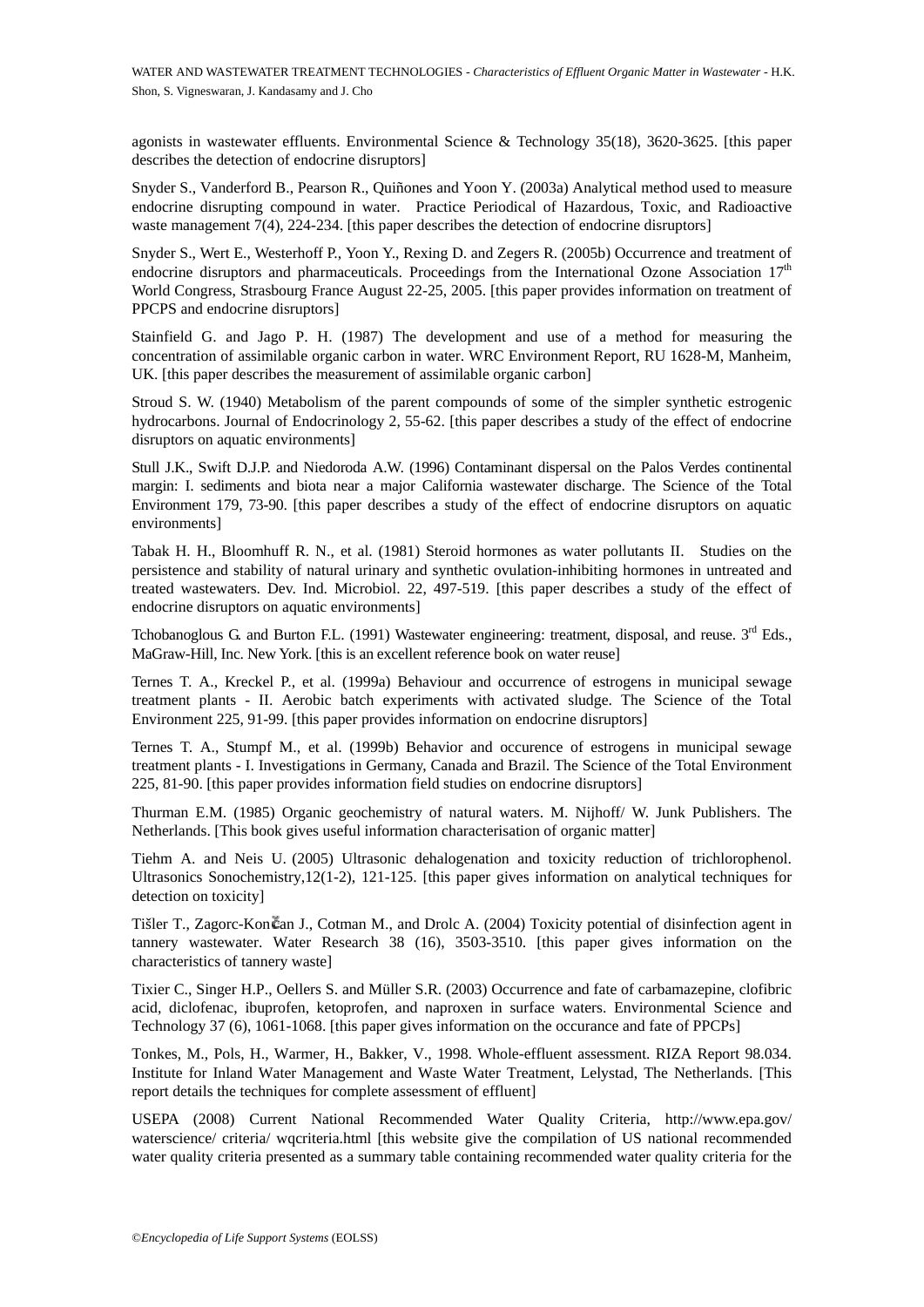agonists in wastewater effluents. Environmental Science & Technology 35(18), 3620-3625. [this paper describes the detection of endocrine disruptors]

Snyder S., Vanderford B., Pearson R., Quiñones and Yoon Y. (2003a) Analytical method used to measure endocrine disrupting compound in water. Practice Periodical of Hazardous, Toxic, and Radioactive waste management 7(4), 224-234. [this paper describes the detection of endocrine disruptors]

Snyder S., Wert E., Westerhoff P., Yoon Y., Rexing D. and Zegers R. (2005b) Occurrence and treatment of endocrine disruptors and pharmaceuticals. Proceedings from the International Ozone Association  $17<sup>th</sup>$ World Congress, Strasbourg France August 22-25, 2005. [this paper provides information on treatment of PPCPS and endocrine disruptors]

Stainfield G. and Jago P. H. (1987) The development and use of a method for measuring the concentration of assimilable organic carbon in water. WRC Environment Report, RU 1628-M, Manheim, UK. [this paper describes the measurement of assimilable organic carbon]

Stroud S. W. (1940) Metabolism of the parent compounds of some of the simpler synthetic estrogenic hydrocarbons. Journal of Endocrinology 2, 55-62. [this paper describes a study of the effect of endocrine disruptors on aquatic environments]

ocarbons. Journal of Endocrinology 2, 55-62. [this paper describes a study of<br>ptors on aquatic environments]<br>J.K., Swift D.J.P. and Niedoroda A.W. (1996) Contaminant dispersal on the P<br>in: 1. sediments and biota near a maj (15 to the matterial and Meridian and Meridian and Meridian Schematic and the effect of endo<br>aquatic environments]<br>and of Endocrinology 2, 55-62. [this paper describes a study of the effect of endo<br>aquatic environments]<br>d Stull J.K., Swift D.J.P. and Niedoroda A.W. (1996) Contaminant dispersal on the Palos Verdes continental margin: I. sediments and biota near a major California wastewater discharge. The Science of the Total Environment 179, 73-90. [this paper describes a study of the effect of endocrine disruptors on aquatic environments]

Tabak H. H., Bloomhuff R. N., et al. (1981) Steroid hormones as water pollutants II. Studies on the persistence and stability of natural urinary and synthetic ovulation-inhibiting hormones in untreated and treated wastewaters. Dev. Ind. Microbiol. 22, 497-519. [this paper describes a study of the effect of endocrine disruptors on aquatic environments]

Tchobanoglous G. and Burton F.L. (1991) Wastewater engineering: treatment, disposal, and reuse. 3<sup>rd</sup> Eds., MaGraw-Hill, Inc. New York. [this is an excellent reference book on water reuse]

Ternes T. A., Kreckel P., et al. (1999a) Behaviour and occurrence of estrogens in municipal sewage treatment plants - II. Aerobic batch experiments with activated sludge. The Science of the Total Environment 225, 91-99. [this paper provides information on endocrine disruptors]

Ternes T. A., Stumpf M., et al. (1999b) Behavior and occurence of estrogens in municipal sewage treatment plants - I. Investigations in Germany, Canada and Brazil. The Science of the Total Environment 225, 81-90. [this paper provides information field studies on endocrine disruptors]

Thurman E.M. (1985) Organic geochemistry of natural waters. M. Nijhoff/ W. Junk Publishers. The Netherlands. [This book gives useful information characterisation of organic matter]

Tiehm A. and Neis U. (2005) Ultrasonic dehalogenation and toxicity reduction of trichlorophenol. Ultrasonics Sonochemistry,12(1-2), 121-125. [this paper gives information on analytical techniques for detection on toxicity]

Tišler T., Zagorc-Kon čan J., Cotman M., and Drolc A. (2004) Toxicity potential of disinfection agent in tannery wastewater. Water Research 38 (16), 3503-3510. [this paper gives information on the characteristics of tannery waste]

Tixier C., Singer H.P., Oellers S. and Müller S.R. (2003) Occurrence and fate of carbamazepine, clofibric acid, diclofenac, ibuprofen, ketoprofen, and naproxen in surface waters. Environmental Science and Technology 37 (6), 1061-1068. [this paper gives information on the occurance and fate of PPCPs]

Tonkes, M., Pols, H., Warmer, H., Bakker, V., 1998. Whole-effluent assessment. RIZA Report 98.034. Institute for Inland Water Management and Waste Water Treatment, Lelystad, The Netherlands. [This report details the techniques for complete assessment of effluent]

USEPA (2008) Current National Recommended Water Quality Criteria, http://www.epa.gov/ waterscience/ criteria/ wacriteria.html [this website give the compilation of US national recommended water quality criteria presented as a summary table containing recommended water quality criteria for the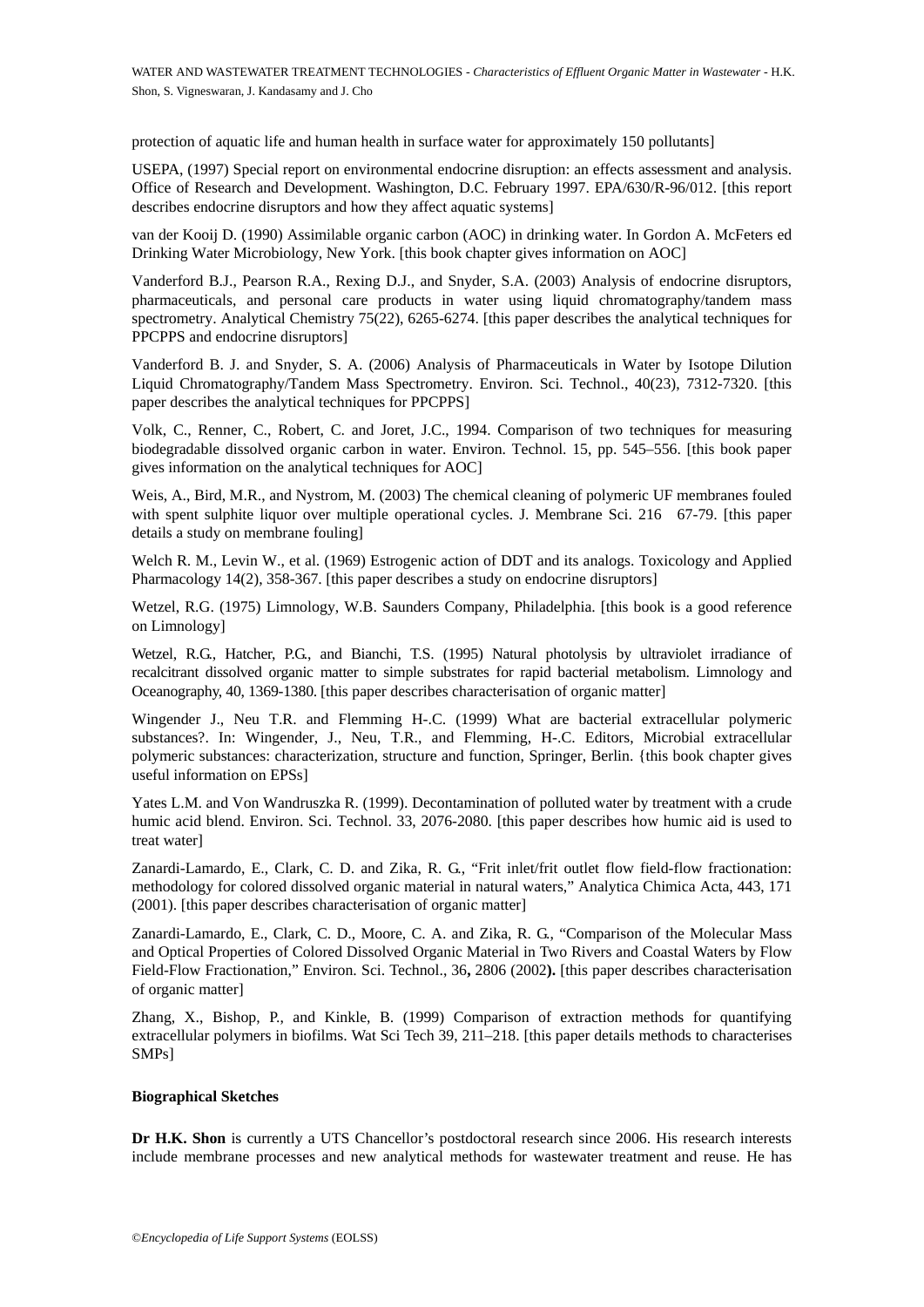protection of aquatic life and human health in surface water for approximately 150 pollutants]

USEPA, (1997) Special report on environmental endocrine disruption: an effects assessment and analysis. Office of Research and Development. Washington, D.C. February 1997. EPA/630/R-96/012. [this report describes endocrine disruptors and how they affect aquatic systems]

van der Kooij D. (1990) Assimilable organic carbon (AOC) in drinking water. In Gordon A. McFeters ed Drinking Water Microbiology, New York. [this book chapter gives information on AOC]

Vanderford B.J., Pearson R.A., Rexing D.J., and Snyder, S.A. (2003) Analysis of endocrine disruptors, pharmaceuticals, and personal care products in water using liquid chromatography/tandem mass spectrometry. Analytical Chemistry 75(22), 6265-6274. [this paper describes the analytical techniques for PPCPPS and endocrine disruptors]

Vanderford B. J. and Snyder, S. A. (2006) Analysis of Pharmaceuticals in Water by Isotope Dilution Liquid Chromatography/Tandem Mass Spectrometry. Environ. Sci. Technol., 40(23), 7312-7320. [this paper describes the analytical techniques for PPCPPS]

Volk, C., Renner, C., Robert, C. and Joret, J.C., 1994. Comparison of two techniques for measuring biodegradable dissolved organic carbon in water. Environ. Technol. 15, pp. 545–556. [this book paper gives information on the analytical techniques for AOC]

Weis, A., Bird, M.R., and Nystrom, M. (2003) The chemical cleaning of polymeric UF membranes fouled with spent sulphite liquor over multiple operational cycles. J. Membrane Sci. 216 67-79. [this paper details a study on membrane fouling]

Welch R. M., Levin W., et al. (1969) Estrogenic action of DDT and its analogs. Toxicology and Applied Pharmacology 14(2), 358-367. [this paper describes a study on endocrine disruptors]

Wetzel, R.G. (1975) Limnology, W.B. Saunders Company, Philadelphia. [this book is a good reference on Limnology]

Wetzel, R.G., Hatcher, P.G., and Bianchi, T.S. (1995) Natural photolysis by ultraviolet irradiance of recalcitrant dissolved organic matter to simple substrates for rapid bacterial metabolism. Limnology and Oceanography, 40, 1369-1380. [this paper describes characterisation of organic matter]

is C., Renner, C., Robert, C. and Joret, J.C., 1994. Comparison of two tect-<br>
i.g. C., Renner, C., Robert, C. and Joret, J.C., 1994. Comparison of two tect-<br>
siggradable dissolved organic carbon in water. Environ. Technol. some manyistan connections. The comparison of two techniques for measurement, C., Robert, C. and Joret, J.C., 1994. Comparison of two techniques for mease dissolved organic carbon in water. Eniviron. Technol. 15, pp. 545–5 Wingender J., Neu T.R. and Flemming H-.C. (1999) What are bacterial extracellular polymeric substances?. In: Wingender, J., Neu, T.R., and Flemming, H-.C. Editors, Microbial extracellular polymeric substances: characterization, structure and function, Springer, Berlin. {this book chapter gives useful information on EPSs]

Yates L.M. and Von Wandruszka R. (1999). Decontamination of polluted water by treatment with a crude humic acid blend. Environ. Sci. Technol. 33, 2076-2080. [this paper describes how humic aid is used to treat water]

Zanardi-Lamardo, E., Clark, C. D. and Zika, R. G., "Frit inlet/frit outlet flow field-flow fractionation: methodology for colored dissolved organic material in natural waters," Analytica Chimica Acta, 443, 171 (2001). [this paper describes characterisation of organic matter]

Zanardi-Lamardo, E., Clark, C. D., Moore, C. A. and Zika, R. G., "Comparison of the Molecular Mass and Optical Properties of Colored Dissolved Organic Material in Two Rivers and Coastal Waters by Flow Field-Flow Fractionation," Environ. Sci. Technol., 36**,** 2806 (2002**).** [this paper describes characterisation of organic matter]

Zhang, X., Bishop, P., and Kinkle, B. (1999) Comparison of extraction methods for quantifying extracellular polymers in biofilms. Wat Sci Tech 39, 211–218. [this paper details methods to characterises SMPs]

#### **Biographical Sketches**

**Dr H.K. Shon** is currently a UTS Chancellor's postdoctoral research since 2006. His research interests include membrane processes and new analytical methods for wastewater treatment and reuse. He has